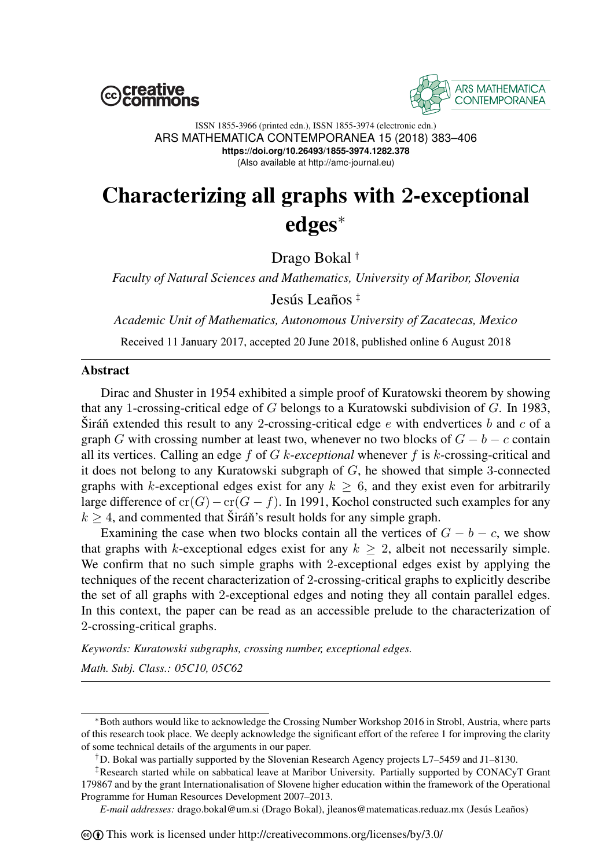



#### ISSN 1855-3966 (printed edn.), ISSN 1855-3974 (electronic edn.) ARS MATHEMATICA CONTEMPORANEA 15 (2018) 383–406 **https://doi.org/10.26493/1855-3974.1282.378** (Also available at http://amc-journal.eu)

# Characterizing all graphs with 2-exceptional edges<sup>∗</sup>

Drago Bokal †

*Faculty of Natural Sciences and Mathematics, University of Maribor, Slovenia* Jesús Leaños ‡

*Academic Unit of Mathematics, Autonomous University of Zacatecas, Mexico*

Received 11 January 2017, accepted 20 June 2018, published online 6 August 2018

## **Abstract**

Dirac and Shuster in 1954 exhibited a simple proof of Kuratowski theorem by showing that any 1-crossing-critical edge of G belongs to a Kuratowski subdivision of G. In 1983, Sirán extended this result to any 2-crossing-critical edge e with endvertices b and c of a graph G with crossing number at least two, whenever no two blocks of  $G - b - c$  contain all its vertices. Calling an edge f of G k-*exceptional* whenever f is k-crossing-critical and it does not belong to any Kuratowski subgraph of  $G$ , he showed that simple 3-connected graphs with k-exceptional edges exist for any  $k \geq 6$ , and they exist even for arbitrarily large difference of cr(G) – cr(G − f). In 1991, Kochol constructed such examples for any  $k > 4$ , and commented that Sirán<sup>'s</sup> result holds for any simple graph.

Examining the case when two blocks contain all the vertices of  $G - b - c$ , we show that graphs with k-exceptional edges exist for any  $k \geq 2$ , albeit not necessarily simple. We confirm that no such simple graphs with 2-exceptional edges exist by applying the techniques of the recent characterization of 2-crossing-critical graphs to explicitly describe the set of all graphs with 2-exceptional edges and noting they all contain parallel edges. In this context, the paper can be read as an accessible prelude to the characterization of 2-crossing-critical graphs.

*Keywords: Kuratowski subgraphs, crossing number, exceptional edges.*

*Math. Subj. Class.: 05C10, 05C62*

<sup>∗</sup>Both authors would like to acknowledge the Crossing Number Workshop 2016 in Strobl, Austria, where parts of this research took place. We deeply acknowledge the significant effort of the referee 1 for improving the clarity of some technical details of the arguments in our paper.

<sup>†</sup>D. Bokal was partially supported by the Slovenian Research Agency projects L7–5459 and J1–8130.

<sup>‡</sup>Research started while on sabbatical leave at Maribor University. Partially supported by CONACyT Grant 179867 and by the grant Internationalisation of Slovene higher education within the framework of the Operational Programme for Human Resources Development 2007–2013.

*E-mail addresses:* drago.bokal@um.si (Drago Bokal), jleanos@matematicas.reduaz.mx (Jesús Leaños)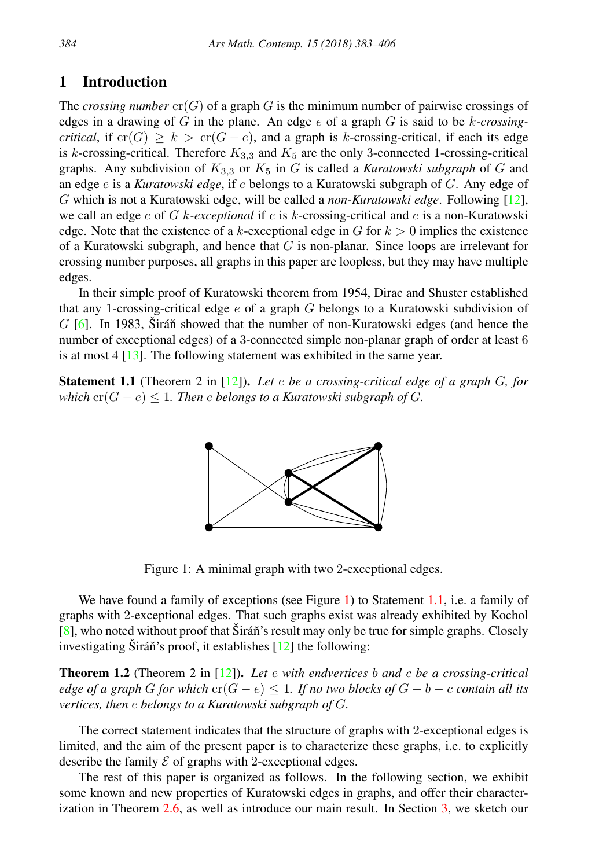# 1 Introduction

The *crossing number*  $cr(G)$  of a graph G is the minimum number of pairwise crossings of edges in a drawing of G in the plane. An edge e of a graph G is said to be k*-crossingcritical*, if  $\text{cr}(G) \geq k > \text{cr}(G - e)$ , and a graph is k-crossing-critical, if each its edge is k-crossing-critical. Therefore  $K_{3,3}$  and  $K_5$  are the only 3-connected 1-crossing-critical graphs. Any subdivision of  $K_{3,3}$  or  $K_5$  in G is called a *Kuratowski subgraph* of G and an edge e is a *Kuratowski edge*, if e belongs to a Kuratowski subgraph of G. Any edge of G which is not a Kuratowski edge, will be called a *non-Kuratowski edge*. Following [\[12\]](#page-23-0), we call an edge e of G k*-exceptional* if e is k-crossing-critical and e is a non-Kuratowski edge. Note that the existence of a k-exceptional edge in G for  $k > 0$  implies the existence of a Kuratowski subgraph, and hence that  $G$  is non-planar. Since loops are irrelevant for crossing number purposes, all graphs in this paper are loopless, but they may have multiple edges.

In their simple proof of Kuratowski theorem from 1954, Dirac and Shuster established that any 1-crossing-critical edge  $e$  of a graph  $G$  belongs to a Kuratowski subdivision of  $G$  [\[6\]](#page-22-0). In 1983, Sirán showed that the number of non-Kuratowski edges (and hence the number of exceptional edges) of a 3-connected simple non-planar graph of order at least 6 is at most 4 [\[13\]](#page-23-1). The following statement was exhibited in the same year.

<span id="page-1-1"></span>Statement 1.1 (Theorem 2 in [\[12\]](#page-23-0)). *Let* e *be a crossing-critical edge of a graph* G*, for which*  $\text{cr}(G - e) \leq 1$ . Then *e belongs to a Kuratowski subgraph of G.* 



<span id="page-1-0"></span>Figure 1: A minimal graph with two 2-exceptional edges.

We have found a family of exceptions (see Figure [1\)](#page-1-0) to Statement [1.1,](#page-1-1) i.e. a family of graphs with 2-exceptional edges. That such graphs exist was already exhibited by Kochol  $[8]$ , who noted without proof that Sirán's result may only be true for simple graphs. Closely investigating Siráň's proof, it establishes  $[12]$  $[12]$  the following:

<span id="page-1-2"></span>Theorem 1.2 (Theorem 2 in [\[12\]](#page-23-0)). *Let* e *with endvertices* b *and* c *be a crossing-critical edge of a graph* G *for which*  $\text{cr}(G - e) \leq 1$ *. If no two blocks of*  $G - b - c$  *contain all its vertices, then* e *belongs to a Kuratowski subgraph of* G*.*

The correct statement indicates that the structure of graphs with 2-exceptional edges is limited, and the aim of the present paper is to characterize these graphs, i.e. to explicitly describe the family  $\mathcal E$  of graphs with 2-exceptional edges.

The rest of this paper is organized as follows. In the following section, we exhibit some known and new properties of Kuratowski edges in graphs, and offer their characterization in Theorem [2.6,](#page-3-0) as well as introduce our main result. In Section [3,](#page-5-0) we sketch our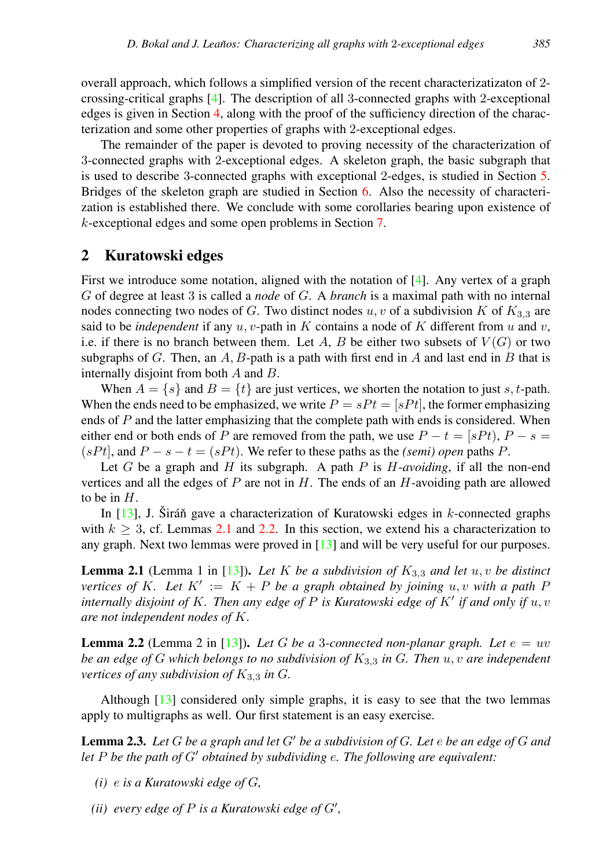overall approach, which follows a simplified version of the recent characterizatizaton of 2 crossing-critical graphs [\[4\]](#page-22-1). The description of all 3-connected graphs with 2-exceptional edges is given in Section [4,](#page-6-0) along with the proof of the sufficiency direction of the characterization and some other properties of graphs with 2-exceptional edges.

The remainder of the paper is devoted to proving necessity of the characterization of 3-connected graphs with 2-exceptional edges. A skeleton graph, the basic subgraph that is used to describe 3-connected graphs with exceptional 2-edges, is studied in Section [5.](#page-11-0) Bridges of the skeleton graph are studied in Section [6.](#page-16-0) Also the necessity of characterization is established there. We conclude with some corollaries bearing upon existence of k-exceptional edges and some open problems in Section [7.](#page-21-0)

## 2 Kuratowski edges

First we introduce some notation, aligned with the notation of  $[4]$ . Any vertex of a graph G of degree at least 3 is called a *node* of G. A *branch* is a maximal path with no internal nodes connecting two nodes of G. Two distinct nodes u, v of a subdivision K of  $K_{3,3}$  are said to be *independent* if any  $u, v$ -path in K contains a node of K different from  $u$  and  $v$ , i.e. if there is no branch between them. Let A, B be either two subsets of  $V(G)$  or two subgraphs of G. Then, an  $A, B$ -path is a path with first end in  $A$  and last end in  $B$  that is internally disjoint from both A and B.

When  $A = \{s\}$  and  $B = \{t\}$  are just vertices, we shorten the notation to just s, t-path. When the ends need to be emphasized, we write  $P = sPt = [sPt]$ , the former emphasizing ends of  $P$  and the latter emphasizing that the complete path with ends is considered. When either end or both ends of P are removed from the path, we use  $P - t = [sPt)$ ,  $P - s =$  $(sP t)$ , and  $P - s - t = (sP t)$ . We refer to these paths as the *(semi) open* paths P.

Let G be a graph and H its subgraph. A path  $P$  is  $H\text{-}avoiding$ , if all the non-end vertices and all the edges of  $P$  are not in  $H$ . The ends of an  $H$ -avoiding path are allowed to be in  $H$ .

In [\[13\]](#page-23-1), J. Širáň gave a characterization of Kuratowski edges in  $k$ -connected graphs with  $k \geq 3$ , cf. Lemmas [2.1](#page-2-0) and [2.2.](#page-2-1) In this section, we extend his a characterization to any graph. Next two lemmas were proved in  $[13]$  and will be very useful for our purposes.

<span id="page-2-0"></span>**Lemma 2.1** (Lemma 1 in [\[13\]](#page-23-1)). Let K be a subdivision of  $K_{3,3}$  and let  $u, v$  be distinct *vertices of* K. Let  $K' := K + P$  *be a graph obtained by joining*  $u, v$  *with a path* F *internally disjoint of K. Then any edge of P is Kuratowski edge of K' if and only if*  $u, v$ *are not independent nodes of* K*.*

<span id="page-2-1"></span>**Lemma 2.2** (Lemma 2 in [\[13\]](#page-23-1)). Let G be a 3-connected non-planar graph. Let  $e = uv$ *be an edge of* G *which belongs to no subdivision of* K3,<sup>3</sup> *in* G*. Then* u, v *are independent vertices of any subdivision of*  $K_{3,3}$  *in G.* 

Although [\[13\]](#page-23-1) considered only simple graphs, it is easy to see that the two lemmas apply to multigraphs as well. Our first statement is an easy exercise.

<span id="page-2-2"></span>**Lemma 2.3.** Let G be a graph and let G' be a subdivision of G. Let e be an edge of G and *let*  $P$  *be the path of*  $G'$  *obtained by subdividing e. The following are equivalent:* 

- *(i)* e *is a Kuratowski edge of* G*,*
- (*ii*) *every edge of*  $P$  *is a Kuratowski edge of*  $G'$ ,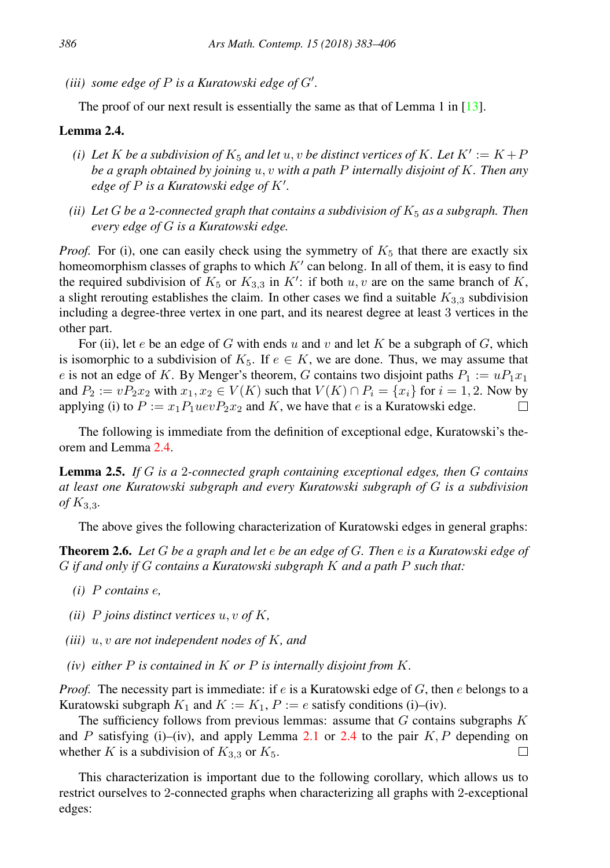(*iii*) some edge of  $P$  is a Kuratowski edge of  $G'$ .

The proof of our next result is essentially the same as that of Lemma 1 in [\[13\]](#page-23-1).

## <span id="page-3-1"></span>Lemma 2.4.

- (*i*) Let K be a subdivision of  $K_5$  and let  $u, v$  be distinct vertices of K. Let  $K' := K + P$ *be a graph obtained by joining* u, v *with a path* P *internally disjoint of* K*. Then any edge of*  $P$  *is a Kuratowski edge of*  $K'$ .
- *(ii)* Let G be a 2-connected graph that contains a subdivision of  $K_5$  as a subgraph. Then *every edge of* G *is a Kuratowski edge.*

*Proof.* For (i), one can easily check using the symmetry of  $K_5$  that there are exactly six homeomorphism classes of graphs to which  $K'$  can belong. In all of them, it is easy to find the required subdivision of  $K_5$  or  $K_{3,3}$  in  $K'$ : if both  $u, v$  are on the same branch of K, a slight rerouting establishes the claim. In other cases we find a suitable  $K_{3,3}$  subdivision including a degree-three vertex in one part, and its nearest degree at least 3 vertices in the other part.

For (ii), let e be an edge of G with ends u and v and let K be a subgraph of G, which is isomorphic to a subdivision of  $K_5$ . If  $e \in K$ , we are done. Thus, we may assume that e is not an edge of K. By Menger's theorem, G contains two disjoint paths  $P_1 := uP_1x_1$ and  $P_2 := vP_2x_2$  with  $x_1, x_2 \in V(K)$  such that  $V(K) \cap P_i = \{x_i\}$  for  $i = 1, 2$ . Now by applying (i) to  $P := x_1 P_1 u e v P_2 x_2$  and K, we have that e is a Kuratowski edge. □

The following is immediate from the definition of exceptional edge, Kuratowski's theorem and Lemma [2.4.](#page-3-1)

<span id="page-3-2"></span>Lemma 2.5. *If* G *is a* 2*-connected graph containing exceptional edges, then* G *contains at least one Kuratowski subgraph and every Kuratowski subgraph of* G *is a subdivision of* K3,3*.*

The above gives the following characterization of Kuratowski edges in general graphs:

<span id="page-3-0"></span>Theorem 2.6. *Let* G *be a graph and let* e *be an edge of* G*. Then* e *is a Kuratowski edge of* G *if and only if* G *contains a Kuratowski subgraph* K *and a path* P *such that:*

- *(i)* P *contains* e*,*
- *(ii)* P *joins distinct vertices* u, v *of* K*,*
- *(iii)* u, v *are not independent nodes of* K*, and*
- *(iv) either* P *is contained in* K *or* P *is internally disjoint from* K*.*

*Proof.* The necessity part is immediate: if  $e$  is a Kuratowski edge of  $G$ , then  $e$  belongs to a Kuratowski subgraph  $K_1$  and  $K := K_1$ ,  $P := e$  satisfy conditions (i)–(iv).

The sufficiency follows from previous lemmas: assume that  $G$  contains subgraphs  $K$ and P satisfying (i)–(iv), and apply Lemma [2.1](#page-2-0) or [2.4](#page-3-1) to the pair  $K, P$  depending on whether K is a subdivision of  $K_{3,3}$  or  $K_5$ .  $\Box$ 

This characterization is important due to the following corollary, which allows us to restrict ourselves to 2-connected graphs when characterizing all graphs with 2-exceptional edges: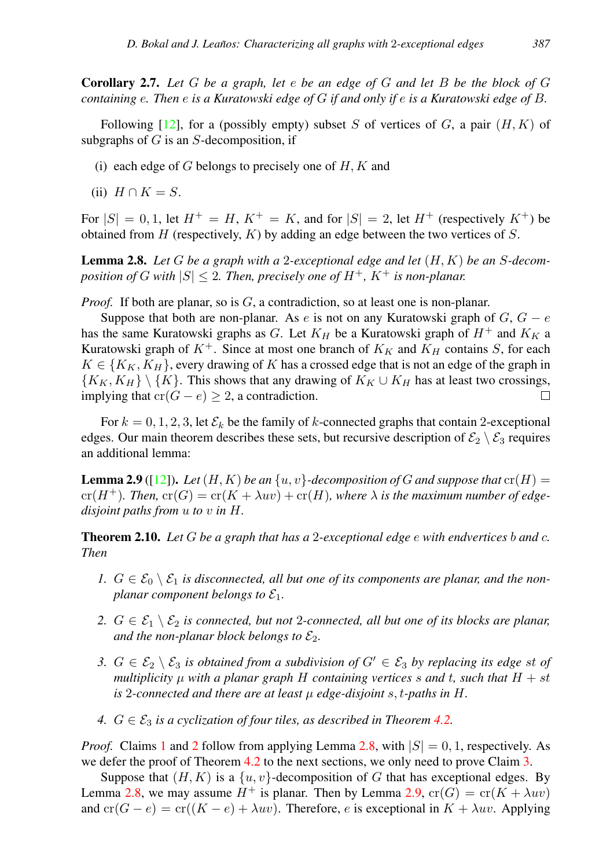Corollary 2.7. *Let* G *be a graph, let* e *be an edge of* G *and let* B *be the block of* G *containing* e*. Then* e *is a Kuratowski edge of* G *if and only if* e *is a Kuratowski edge of* B*.*

Following  $[12]$ , for a (possibly empty) subset S of vertices of G, a pair  $(H, K)$  of subgraphs of  $G$  is an  $S$ -decomposition, if

- (i) each edge of  $G$  belongs to precisely one of  $H, K$  and
- (ii)  $H \cap K = S$ .

For  $|S| = 0, 1$ , let  $H^+ = H$ ,  $K^+ = K$ , and for  $|S| = 2$ , let  $H^+$  (respectively  $K^+$ ) be obtained from  $H$  (respectively,  $K$ ) by adding an edge between the two vertices of  $S$ .

<span id="page-4-2"></span>Lemma 2.8. *Let* G *be a graph with a* 2*-exceptional edge and let* (H, K) *be an* S*-decomposition of G with*  $|S| \leq 2$ . Then, precisely one of  $H^+$ ,  $K^+$  is non-planar.

*Proof.* If both are planar, so is G, a contradiction, so at least one is non-planar.

Suppose that both are non-planar. As e is not on any Kuratowski graph of  $G, G - e$ has the same Kuratowski graphs as G. Let  $K_H$  be a Kuratowski graph of  $H^+$  and  $K_K$  a Kuratowski graph of  $K^+$ . Since at most one branch of  $K_K$  and  $K_H$  contains S, for each  $K \in \{K_K, K_H\}$ , every drawing of K has a crossed edge that is not an edge of the graph in  ${K_K, K_H} \ \backslash \ K$ . This shows that any drawing of  $K_K \cup K_H$  has at least two crossings, implying that  $cr(G - e) \geq 2$ , a contradiction.  $\Box$ 

For  $k = 0, 1, 2, 3$ , let  $\mathcal{E}_k$  be the family of k-connected graphs that contain 2-exceptional edges. Our main theorem describes these sets, but recursive description of  $\mathcal{E}_2 \setminus \mathcal{E}_3$  requires an additional lemma:

<span id="page-4-4"></span>**Lemma 2.9** ([\[12\]](#page-23-0)). Let  $(H, K)$  be an  $\{u, v\}$ -decomposition of G and suppose that  $cr(H)$  =  $cr(H^+)$ *. Then,*  $cr(G) = cr(K + \lambda uv) + cr(H)$ *, where*  $\lambda$  *is the maximum number of edgedisjoint paths from* u *to* v *in* H*.*

<span id="page-4-5"></span>Theorem 2.10. *Let* G *be a graph that has a* 2*-exceptional edge* e *with endvertices* b *and* c*. Then*

- <span id="page-4-0"></span>1.  $G \in \mathcal{E}_0 \setminus \mathcal{E}_1$  *is disconnected, all but one of its components are planar, and the nonplanar component belongs to*  $\mathcal{E}_1$ *.*
- <span id="page-4-1"></span>*2.*  $G \in \mathcal{E}_1 \setminus \mathcal{E}_2$  *is connected, but not 2-connected, all but one of its blocks are planar, and the non-planar block belongs to*  $\mathcal{E}_2$ *.*
- <span id="page-4-3"></span>*3.*  $G \in \mathcal{E}_2 \setminus \mathcal{E}_3$  *is obtained from a subdivision of*  $G' \in \mathcal{E}_3$  *by replacing its edge st of multiplicity*  $\mu$  *with a planar graph*  $H$  *containing vertices*  $s$  *and*  $t$ *, such that*  $H + st$ *is* 2-connected and there are at least  $\mu$  edge-disjoint  $s$ , t-paths in H.
- *4.*  $G \in \mathcal{E}_3$  *is a cyclization of four tiles, as described in Theorem [4.2.](#page-8-0)*

*Proof.* Claims [1](#page-4-0) and [2](#page-4-1) follow from applying Lemma [2.8,](#page-4-2) with  $|S| = 0, 1$ , respectively. As we defer the proof of Theorem [4.2](#page-8-0) to the next sections, we only need to prove Claim [3.](#page-4-3)

Suppose that  $(H, K)$  is a  $\{u, v\}$ -decomposition of G that has exceptional edges. By Lemma [2.8,](#page-4-2) we may assume  $H^+$  is planar. Then by Lemma [2.9,](#page-4-4)  $\text{cr}(G) = \text{cr}(K + \lambda uv)$ and  $\operatorname{cr}(G - e) = \operatorname{cr}((K - e) + \lambda uv)$ . Therefore, e is exceptional in  $K + \lambda uv$ . Applying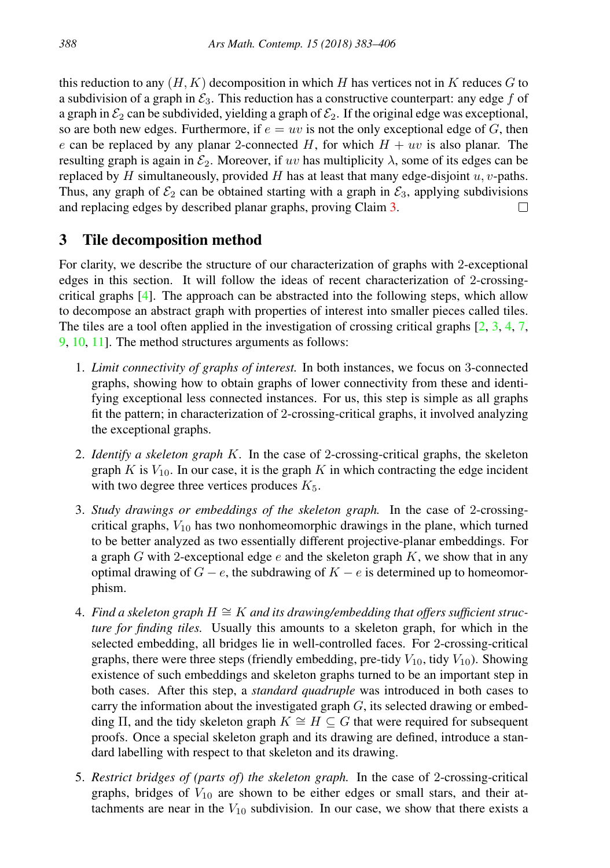this reduction to any  $(H, K)$  decomposition in which H has vertices not in K reduces G to a subdivision of a graph in  $\mathcal{E}_3$ . This reduction has a constructive counterpart: any edge f of a graph in  $\mathcal{E}_2$  can be subdivided, yielding a graph of  $\mathcal{E}_2$ . If the original edge was exceptional, so are both new edges. Furthermore, if  $e = uv$  is not the only exceptional edge of G, then e can be replaced by any planar 2-connected H, for which  $H + uv$  is also planar. The resulting graph is again in  $\mathcal{E}_2$ . Moreover, if uv has multiplicity  $\lambda$ , some of its edges can be replaced by  $H$  simultaneously, provided  $H$  has at least that many edge-disjoint  $u, v$ -paths. Thus, any graph of  $\mathcal{E}_2$  can be obtained starting with a graph in  $\mathcal{E}_3$ , applying subdivisions and replacing edges by described planar graphs, proving Claim [3.](#page-4-3) □

# <span id="page-5-0"></span>3 Tile decomposition method

For clarity, we describe the structure of our characterization of graphs with 2-exceptional edges in this section. It will follow the ideas of recent characterization of 2-crossingcritical graphs [\[4\]](#page-22-1). The approach can be abstracted into the following steps, which allow to decompose an abstract graph with properties of interest into smaller pieces called tiles. The tiles are a tool often applied in the investigation of crossing critical graphs  $[2, 3, 4, 7, 7]$  $[2, 3, 4, 7, 7]$  $[2, 3, 4, 7, 7]$  $[2, 3, 4, 7, 7]$  $[2, 3, 4, 7, 7]$  $[2, 3, 4, 7, 7]$  $[2, 3, 4, 7, 7]$  $[2, 3, 4, 7, 7]$ [9,](#page-23-4) [10,](#page-23-5) [11\]](#page-23-6). The method structures arguments as follows:

- 1. *Limit connectivity of graphs of interest.* In both instances, we focus on 3-connected graphs, showing how to obtain graphs of lower connectivity from these and identifying exceptional less connected instances. For us, this step is simple as all graphs fit the pattern; in characterization of 2-crossing-critical graphs, it involved analyzing the exceptional graphs.
- 2. *Identify a skeleton graph* K*.* In the case of 2-crossing-critical graphs, the skeleton graph  $K$  is  $V_{10}$ . In our case, it is the graph  $K$  in which contracting the edge incident with two degree three vertices produces  $K_5$ .
- 3. *Study drawings or embeddings of the skeleton graph.* In the case of 2-crossingcritical graphs,  $V_{10}$  has two nonhomeomorphic drawings in the plane, which turned to be better analyzed as two essentially different projective-planar embeddings. For a graph G with 2-exceptional edge e and the skeleton graph  $K$ , we show that in any optimal drawing of  $G - e$ , the subdrawing of  $K - e$  is determined up to homeomorphism.
- 4. *Find a skeleton graph* H ∼= K *and its drawing/embedding that offers sufficient structure for finding tiles.* Usually this amounts to a skeleton graph, for which in the selected embedding, all bridges lie in well-controlled faces. For 2-crossing-critical graphs, there were three steps (friendly embedding, pre-tidy  $V_{10}$ , tidy  $V_{10}$ ). Showing existence of such embeddings and skeleton graphs turned to be an important step in both cases. After this step, a *standard quadruple* was introduced in both cases to carry the information about the investigated graph  $G$ , its selected drawing or embedding  $\Pi$ , and the tidy skeleton graph  $K \cong H \subseteq G$  that were required for subsequent proofs. Once a special skeleton graph and its drawing are defined, introduce a standard labelling with respect to that skeleton and its drawing.
- 5. *Restrict bridges of (parts of) the skeleton graph.* In the case of 2-crossing-critical graphs, bridges of  $V_{10}$  are shown to be either edges or small stars, and their attachments are near in the  $V_{10}$  subdivision. In our case, we show that there exists a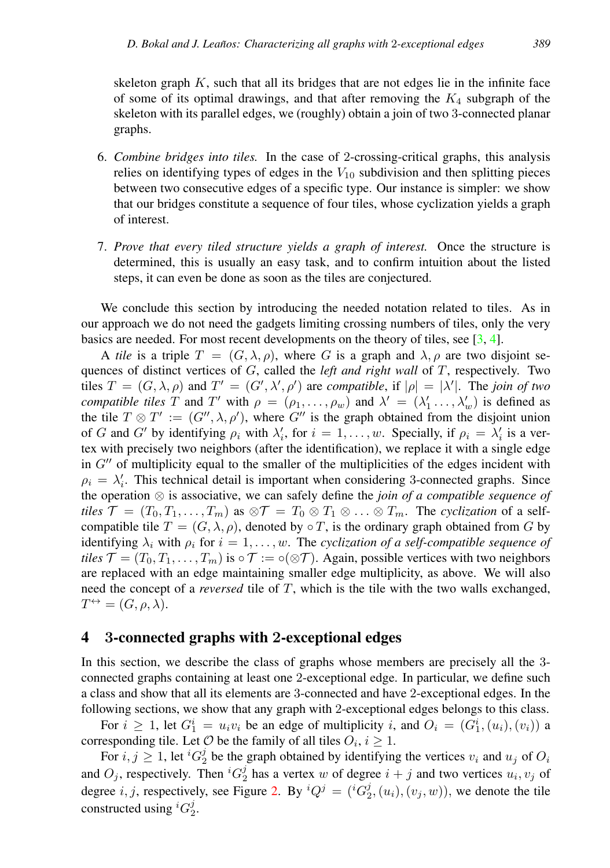skeleton graph  $K$ , such that all its bridges that are not edges lie in the infinite face of some of its optimal drawings, and that after removing the  $K_4$  subgraph of the skeleton with its parallel edges, we (roughly) obtain a join of two 3-connected planar graphs.

- 6. *Combine bridges into tiles.* In the case of 2-crossing-critical graphs, this analysis relies on identifying types of edges in the  $V_{10}$  subdivision and then splitting pieces between two consecutive edges of a specific type. Our instance is simpler: we show that our bridges constitute a sequence of four tiles, whose cyclization yields a graph of interest.
- 7. *Prove that every tiled structure yields a graph of interest.* Once the structure is determined, this is usually an easy task, and to confirm intuition about the listed steps, it can even be done as soon as the tiles are conjectured.

We conclude this section by introducing the needed notation related to tiles. As in our approach we do not need the gadgets limiting crossing numbers of tiles, only the very basics are needed. For most recent developments on the theory of tiles, see [\[3,](#page-22-3) [4\]](#page-22-1).

A *tile* is a triple  $T = (G, \lambda, \rho)$ , where G is a graph and  $\lambda, \rho$  are two disjoint sequences of distinct vertices of G, called the *left and right wall* of T, respectively. Two tiles  $T = (G, \lambda, \rho)$  and  $T' = (G', \lambda', \rho')$  are *compatible*, if  $|\rho| = |\lambda'|$ . The *join of two compatible tiles* T and T' with  $\rho = (\rho_1, \ldots, \rho_w)$  and  $\lambda' = (\lambda'_1, \ldots, \lambda'_w)$  is defined as the tile  $T \otimes T' := (G'', \lambda, \rho')$ , where  $G''$  is the graph obtained from the disjoint union of G and G' by identifying  $\rho_i$  with  $\lambda'_i$ , for  $i = 1, \ldots, w$ . Specially, if  $\rho_i = \lambda'_i$  is a vertex with precisely two neighbors (after the identification), we replace it with a single edge in  $G^{\prime\prime}$  of multiplicity equal to the smaller of the multiplicities of the edges incident with  $\rho_i = \lambda'_i$ . This technical detail is important when considering 3-connected graphs. Since the operation ⊗ is associative, we can safely define the *join of a compatible sequence of tiles*  $\mathcal{T} = (T_0, T_1, \ldots, T_m)$  as  $\otimes \mathcal{T} = T_0 \otimes T_1 \otimes \ldots \otimes T_m$ . The *cyclization* of a selfcompatible tile  $T = (G, \lambda, \rho)$ , denoted by  $\circ T$ , is the ordinary graph obtained from G by identifying  $\lambda_i$  with  $\rho_i$  for  $i = 1, \ldots, w$ . The *cyclization of a self-compatible sequence of tiles*  $\mathcal{T} = (T_0, T_1, \dots, T_m)$  is  $\circ \mathcal{T} := \circ(\otimes \mathcal{T})$ . Again, possible vertices with two neighbors are replaced with an edge maintaining smaller edge multiplicity, as above. We will also need the concept of a *reversed* tile of T, which is the tile with the two walls exchanged,  $T^{\leftrightarrow} = (G, \rho, \lambda).$ 

# <span id="page-6-0"></span>4 3-connected graphs with 2-exceptional edges

In this section, we describe the class of graphs whose members are precisely all the 3 connected graphs containing at least one 2-exceptional edge. In particular, we define such a class and show that all its elements are 3-connected and have 2-exceptional edges. In the following sections, we show that any graph with 2-exceptional edges belongs to this class.

For  $i \ge 1$ , let  $G_1^i = u_i v_i$  be an edge of multiplicity i, and  $O_i = (G_1^i, (u_i), (v_i))$  a corresponding tile. Let  $O$  be the family of all tiles  $O_i$ ,  $i \geq 1$ .

For  $i, j \geq 1$ , let  ${}^{i}G_{2}^{j}$  be the graph obtained by identifying the vertices  $v_i$  and  $u_j$  of  $O_i$ and  $O_j$ , respectively. Then  ${}^{i}G_2^j$  has a vertex w of degree  $i + j$  and two vertices  $u_i, v_j$  of degree *i*, *j*, respectively, see Figure [2.](#page-7-0) By  ${}^{i}Q^{j} = ({}^{i}G_{2}^{j}, (u_{i}), (v_{j}, w))$ , we denote the tile constructed using  ${}^{i}G_{2}^{j}$ .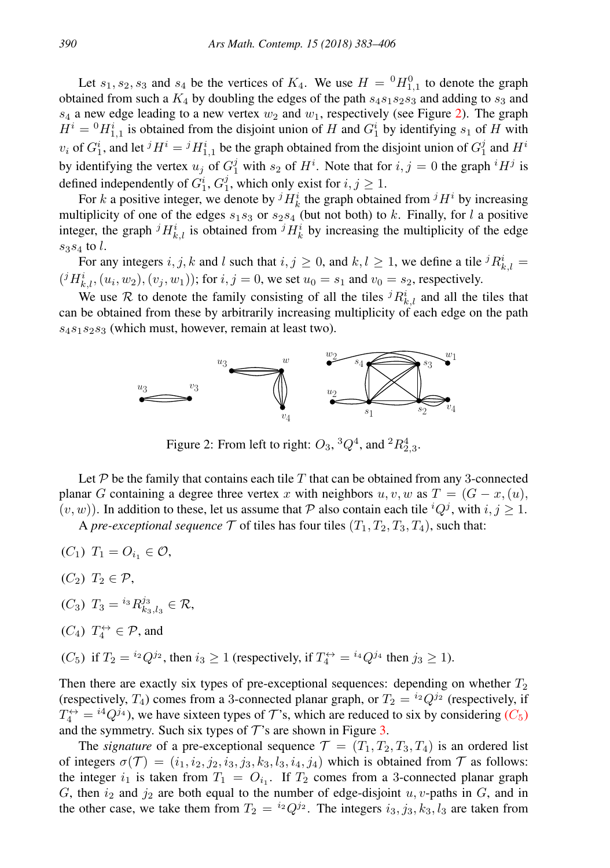Let  $s_1, s_2, s_3$  and  $s_4$  be the vertices of  $K_4$ . We use  $H = {}^0 H_{1,1}^0$  to denote the graph obtained from such a  $K_4$  by doubling the edges of the path  $s_4s_1s_2s_3$  and adding to  $s_3$  and  $s_4$  a new edge leading to a new vertex  $w_2$  and  $w_1$ , respectively (see Figure [2\)](#page-7-0). The graph  $H^{i} = {}^{0}H_{1,1}^{i}$  is obtained from the disjoint union of H and  $G_{1}^{i}$  by identifying  $s_{1}$  of H with  $v_i$  of  $G_1^i$ , and let  ${}^j H^i = {}^j H_{1,1}^i$  be the graph obtained from the disjoint union of  $G_1^j$  and  $H^i$ by identifying the vertex  $u_j$  of  $G_1^j$  with  $s_2$  of  $H^i$ . Note that for  $i, j = 0$  the graph  $iH^j$  is defined independently of  $G_1^i$ ,  $G_1^j$ , which only exist for  $i, j \ge 1$ .

For k a positive integer, we denote by  ${}^{j}H_{k}^{i}$  the graph obtained from  ${}^{j}H^{i}$  by increasing multiplicity of one of the edges  $s_1s_3$  or  $s_2s_4$  (but not both) to k. Finally, for l a positive integer, the graph  ${}^{j}H_{k,l}^{i}$  is obtained from  ${}^{j}H_{k}^{i}$  by increasing the multiplicity of the edge  $s_3s_4$  to l.

For any integers  $i, j, k$  and l such that  $i, j \ge 0$ , and  $k, l \ge 1$ , we define a tile  ${}^{j}R_{k,l}^{i} =$  $(iH_{k,l}^i, (u_i, w_2), (v_j, w_1))$ ; for  $i, j = 0$ , we set  $u_0 = s_1$  and  $v_0 = s_2$ , respectively.

We use R to denote the family consisting of all the tiles  ${}^{j}R_{k,l}^{i}$  and all the tiles that can be obtained from these by arbitrarily increasing multiplicity of each edge on the path  $s_4s_1s_2s_3$  (which must, however, remain at least two).



<span id="page-7-0"></span>Figure 2: From left to right:  $O_3$ ,  $^3Q^4$ , and  $^2R^4_{2,3}$ .

Let  $P$  be the family that contains each tile  $T$  that can be obtained from any 3-connected planar G containing a degree three vertex x with neighbors  $u, v, w$  as  $T = (G - x, (u))$ ,  $(v, w)$ ). In addition to these, let us assume that P also contain each tile  ${}^{i}Q^{j}$ , with  $i, j \geq 1$ .

A *pre-exceptional sequence*  $\mathcal T$  of tiles has four tiles  $(T_1, T_2, T_3, T_4)$ , such that:

- (C<sub>1</sub>)  $T_1 = O_{i_1} \in \mathcal{O}$ ,
- $(C_2)$   $T_2 \in \mathcal{P}$ ,
- (C<sub>3</sub>)  $T_3 = {^{i_3}R_{k_3, l_3}^{j_3}} \in \mathcal{R}$ ,
- $(C_4)$   $T_4^{\leftrightarrow} \in \mathcal{P}$ , and
- <span id="page-7-1"></span>(C<sub>5</sub>) if  $T_2 = {^{i_2}Q^{j_2}}$ , then  $i_3 \ge 1$  (respectively, if  $T_4^{\leftrightarrow} = {^{i_4}Q^{j_4}}$  then  $j_3 \ge 1$ ).

Then there are exactly six types of pre-exceptional sequences: depending on whether  $T_2$ (respectively,  $T_4$ ) comes from a 3-connected planar graph, or  $T_2 = {}^{i_2}Q^{j_2}$  (respectively, if  $T_4^{\leftrightarrow} = {^{i4}Q^{j_4}}$ , we have sixteen types of  $\mathcal{T}$ 's, which are reduced to six by considering  $(C_5)$  $(C_5)$  $(C_5)$ and the symmetry. Such six types of  $\mathcal{T}$ 's are shown in Figure [3.](#page-8-1)

The *signature* of a pre-exceptional sequence  $\mathcal{T} = (T_1, T_2, T_3, T_4)$  is an ordered list of integers  $\sigma(\mathcal{T}) = (i_1, i_2, i_3, i_3, i_3, k_3, l_3, i_4, i_4)$  which is obtained from  $\mathcal{T}$  as follows: the integer  $i_1$  is taken from  $T_1 = O_{i_1}$ . If  $T_2$  comes from a 3-connected planar graph G, then  $i_2$  and  $j_2$  are both equal to the number of edge-disjoint u, v-paths in G, and in the other case, we take them from  $T_2 = {^{i_2}Q^{j_2}}$ . The integers  $i_3, j_3, k_3, l_3$  are taken from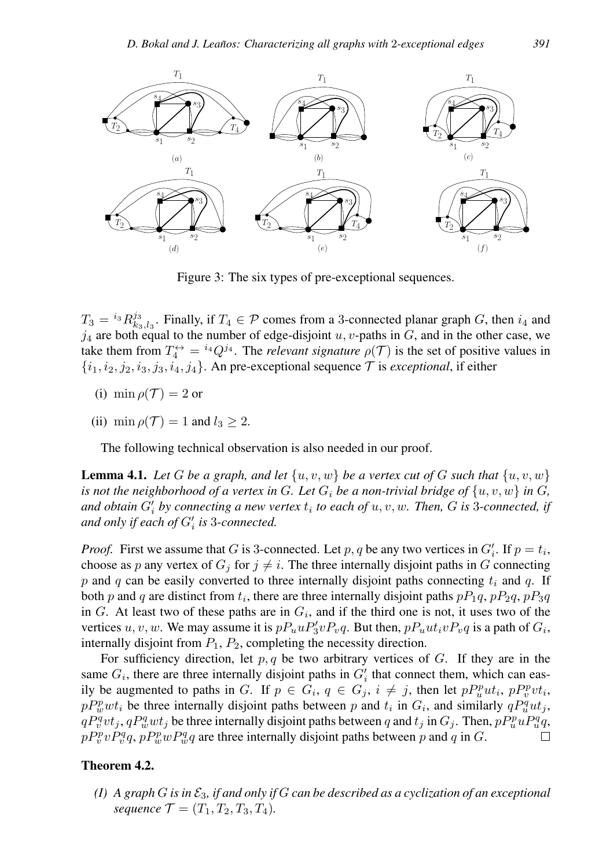

<span id="page-8-1"></span>Figure 3: The six types of pre-exceptional sequences.

 $T_3 = {^{i_3}R_{k_3, l_3}^{j_3}}$ . Finally, if  $T_4 \in \mathcal{P}$  comes from a 3-connected planar graph G, then  $i_4$  and  $j_4$  are both equal to the number of edge-disjoint u, v-paths in G, and in the other case, we take them from  $T_4^{\leftrightarrow} = {^{i_4}Q^{j_4}}$ . The *relevant signature*  $\rho(\mathcal{T})$  is the set of positive values in  $\{i_1, i_2, j_2, i_3, j_3, i_4, j_4\}$ . An pre-exceptional sequence  $\mathcal T$  is *exceptional*, if either

- (i) min  $\rho(\mathcal{T}) = 2$  or
- (ii) min  $\rho(\mathcal{T}) = 1$  and  $l_3 \geq 2$ .

The following technical observation is also needed in our proof.

<span id="page-8-3"></span>**Lemma 4.1.** Let G be a graph, and let  $\{u, v, w\}$  be a vertex cut of G such that  $\{u, v, w\}$ *is not the neighborhood of a vertex in* G. Let  $G_i$  be a non-trivial bridge of  $\{u, v, w\}$  in G, *and obtain*  $G_i'$  *by connecting a new vertex*  $t_i$  *to each of*  $u, v, w$ *. Then,*  $G$  *is* 3*-connected, if* and only if each of  $G_i'$  is 3-connected.

*Proof.* First we assume that G is 3-connected. Let p, q be any two vertices in  $G'_i$ . If  $p = t_i$ , choose as p any vertex of  $G_j$  for  $j \neq i$ . The three internally disjoint paths in G connecting p and q can be easily converted to three internally disjoint paths connecting  $t_i$  and q. If both p and q are distinct from  $t_i$ , there are three internally disjoint paths  $pP_1q$ ,  $pP_2q$ ,  $pP_3q$ in  $G$ . At least two of these paths are in  $G_i$ , and if the third one is not, it uses two of the vertices  $u, v, w$ . We may assume it is  $pP_u u P_3' v P_v q$ . But then,  $pP_u u t_i v P_v q$  is a path of  $G_i$ , internally disjoint from  $P_1$ ,  $P_2$ , completing the necessity direction.

For sufficiency direction, let  $p, q$  be two arbitrary vertices of  $G$ . If they are in the same  $G_i$ , there are three internally disjoint paths in  $G_i'$  that connect them, which can easily be augmented to paths in G. If  $p \in G_i$ ,  $q \in G_j$ ,  $i \neq j$ , then let  $pP_u^put_i$ ,  $pP_v^pt_i$ ,  $pP_w^{\text{p}}wt_i$  be three internally disjoint paths between p and  $t_i$  in  $G_i$ , and similarly  $qP_u^{\text{q}}ut_j$ ,  $qP_v^qvt_j$ ,  $qP_w^qwt_j$  be three internally disjoint paths between q and  $t_j$  in  $G_j$ . Then,  $pP_u^p uP_u^q q$ ,  $pP_v^p v P_v^q q$ ,  $pP_w^p w P_w^q q$  are three internally disjoint paths between p and q in G.  $\Box$ 

#### <span id="page-8-2"></span><span id="page-8-0"></span>Theorem 4.2.

 $(I)$  *A graph G is in*  $\mathcal{E}_3$ *, if and only if G can be described as a cyclization of an exceptional sequence*  $\mathcal{T} = (T_1, T_2, T_3, T_4)$ *.*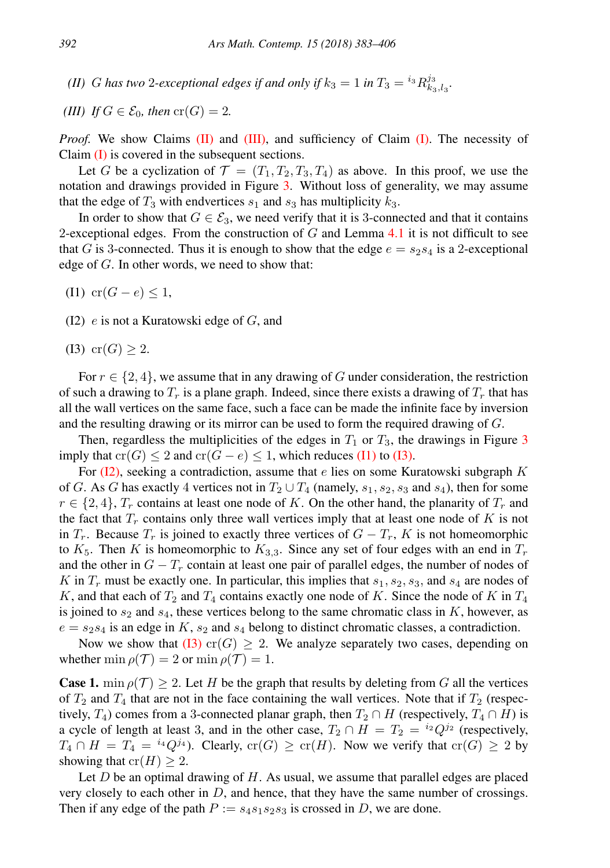<span id="page-9-0"></span>*(II) G* has two 2-exceptional edges if and only if  $k_3 = 1$  in  $T_3 = {^{i_3}R_{k_3, l_3}^{j_3}}$ .

<span id="page-9-1"></span>(III) If 
$$
G \in \mathcal{E}_0
$$
, then  $cr(G) = 2$ .

*Proof.* We show Claims  $(II)$  and  $(III)$ , and sufficiency of Claim  $(I)$ . The necessity of Claim  $(I)$  is covered in the subsequent sections.

Let G be a cyclization of  $\mathcal{T} = (T_1, T_2, T_3, T_4)$  as above. In this proof, we use the notation and drawings provided in Figure [3.](#page-8-1) Without loss of generality, we may assume that the edge of  $T_3$  with endvertices  $s_1$  and  $s_3$  has multiplicity  $k_3$ .

In order to show that  $G \in \mathcal{E}_3$ , we need verify that it is 3-connected and that it contains 2-exceptional edges. From the construction of  $G$  and Lemma [4.1](#page-8-3) it is not difficult to see that G is 3-connected. Thus it is enough to show that the edge  $e = s_2s_4$  is a 2-exceptional edge of G. In other words, we need to show that:

- <span id="page-9-2"></span>(I1) cr( $G - e$ ) < 1,
- <span id="page-9-4"></span>(I2)  $e$  is not a Kuratowski edge of  $G$ , and
- <span id="page-9-3"></span>(I3) cr(*G*)  $\geq 2$ .

For  $r \in \{2, 4\}$ , we assume that in any drawing of G under consideration, the restriction of such a drawing to  $T_r$  is a plane graph. Indeed, since there exists a drawing of  $T_r$  that has all the wall vertices on the same face, such a face can be made the infinite face by inversion and the resulting drawing or its mirror can be used to form the required drawing of G.

Then, regardless the multiplicities of the edges in  $T_1$  or  $T_3$  $T_3$ , the drawings in Figure 3 imply that  $cr(G) \leq 2$  and  $cr(G - e) \leq 1$ , which reduces [\(I1\)](#page-9-2) to [\(I3\).](#page-9-3)

For  $(I2)$ , seeking a contradiction, assume that e lies on some Kuratowski subgraph K of G. As G has exactly 4 vertices not in  $T_2 \cup T_4$  (namely,  $s_1, s_2, s_3$  and  $s_4$ ), then for some  $r \in \{2, 4\}, T_r$  contains at least one node of K. On the other hand, the planarity of  $T_r$  and the fact that  $T_r$  contains only three wall vertices imply that at least one node of  $K$  is not in  $T_r$ . Because  $T_r$  is joined to exactly three vertices of  $G - T_r$ , K is not homeomorphic to  $K_5$ . Then K is homeomorphic to  $K_{3,3}$ . Since any set of four edges with an end in  $T_r$ and the other in  $G - T_r$  contain at least one pair of parallel edges, the number of nodes of K in  $T_r$  must be exactly one. In particular, this implies that  $s_1, s_2, s_3$ , and  $s_4$  are nodes of K, and that each of  $T_2$  and  $T_4$  contains exactly one node of K. Since the node of K in  $T_4$ is joined to  $s_2$  and  $s_4$ , these vertices belong to the same chromatic class in K, however, as  $e = s_2 s_4$  is an edge in K,  $s_2$  and  $s_4$  belong to distinct chromatic classes, a contradiction.

Now we show that [\(I3\)](#page-9-3) cr(G)  $\geq$  2. We analyze separately two cases, depending on whether min  $\rho(\mathcal{T}) = 2$  or min  $\rho(\mathcal{T}) = 1$ .

**Case 1.** min  $\rho(\mathcal{T}) \geq 2$ . Let H be the graph that results by deleting from G all the vertices of  $T_2$  and  $T_4$  that are not in the face containing the wall vertices. Note that if  $T_2$  (respectively,  $T_4$ ) comes from a 3-connected planar graph, then  $T_2 \cap H$  (respectively,  $T_4 \cap H$ ) is a cycle of length at least 3, and in the other case,  $T_2 \cap H = T_2 = {^{i_2}Q^{j_2}}$  (respectively,  $T_4 \cap H = T_4 = {^{i_4}Q^{j_4}}$ . Clearly,  $\text{cr}(G) \geq \text{cr}(H)$ . Now we verify that  $\text{cr}(G) \geq 2$  by showing that  $cr(H) \geq 2$ .

Let  $D$  be an optimal drawing of  $H$ . As usual, we assume that parallel edges are placed very closely to each other in  $D$ , and hence, that they have the same number of crossings. Then if any edge of the path  $P := s_4s_1s_2s_3$  is crossed in D, we are done.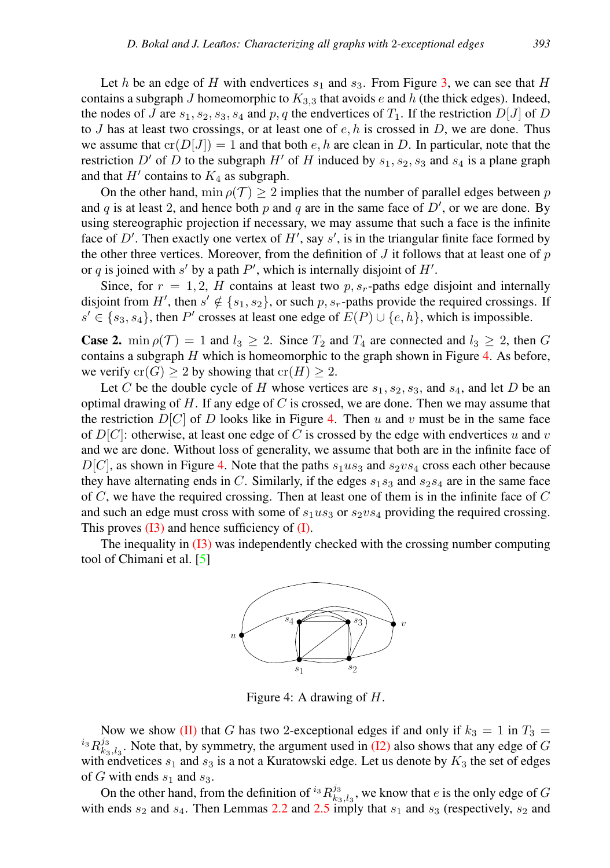Let h be an edge of H with endvertices  $s_1$  and  $s_3$ . From Figure [3,](#page-8-1) we can see that H contains a subgraph J homeomorphic to  $K_{3,3}$  that avoids e and h (the thick edges). Indeed, the nodes of J are  $s_1, s_2, s_3, s_4$  and p, q the endvertices of  $T_1$ . If the restriction  $D[J]$  of D to J has at least two crossings, or at least one of  $e, h$  is crossed in D, we are done. Thus we assume that  $cr(D[J]) = 1$  and that both e, h are clean in D. In particular, note that the restriction D' of D to the subgraph H' of H induced by  $s_1, s_2, s_3$  and  $s_4$  is a plane graph and that  $H'$  contains to  $K_4$  as subgraph.

On the other hand, min  $\rho(T) > 2$  implies that the number of parallel edges between p and q is at least 2, and hence both p and q are in the same face of  $D'$ , or we are done. By using stereographic projection if necessary, we may assume that such a face is the infinite face of  $D'$ . Then exactly one vertex of  $H'$ , say  $s'$ , is in the triangular finite face formed by the other three vertices. Moreover, from the definition of  $J$  it follows that at least one of  $p$ or q is joined with s' by a path  $P'$ , which is internally disjoint of  $H'$ .

Since, for  $r = 1, 2, H$  contains at least two  $p, s_r$ -paths edge disjoint and internally disjoint from H', then  $s' \notin \{s_1, s_2\}$ , or such p,  $s_r$ -paths provide the required crossings. If  $s' \in \{s_3, s_4\}$ , then P' crosses at least one edge of  $E(P) \cup \{e, h\}$ , which is impossible.

**Case 2.** min  $\rho(\mathcal{T}) = 1$  and  $l_3 \geq 2$ . Since  $T_2$  and  $T_4$  are connected and  $l_3 \geq 2$ , then G contains a subgraph  $H$  which is homeomorphic to the graph shown in Figure [4.](#page-10-0) As before, we verify  $cr(G) > 2$  by showing that  $cr(H) > 2$ .

Let C be the double cycle of H whose vertices are  $s_1, s_2, s_3$ , and  $s_4$ , and let D be an optimal drawing of  $H$ . If any edge of  $C$  is crossed, we are done. Then we may assume that the restriction  $D[C]$  of D looks like in Figure [4.](#page-10-0) Then u and v must be in the same face of  $D[C]$ : otherwise, at least one edge of C is crossed by the edge with endvertices u and v and we are done. Without loss of generality, we assume that both are in the infinite face of  $D[C]$ , as shown in Figure [4.](#page-10-0) Note that the paths  $s_1us_3$  and  $s_2vs_4$  cross each other because they have alternating ends in C. Similarly, if the edges  $s_1s_3$  and  $s_2s_4$  are in the same face of  $C$ , we have the required crossing. Then at least one of them is in the infinite face of  $C$ and such an edge must cross with some of  $s_1u s_3$  or  $s_2v s_4$  providing the required crossing. This proves  $(I3)$  and hence sufficiency of  $(I)$ .

The inequality in [\(I3\)](#page-9-3) was independently checked with the crossing number computing tool of Chimani et al. [\[5\]](#page-22-4)



<span id="page-10-0"></span>Figure 4: A drawing of H.

Now we show [\(II\)](#page-9-0) that G has two 2-exceptional edges if and only if  $k_3 = 1$  in  $T_3 =$  $i_3 R_{k_3, l_3}^{j_3}$ . Note that, by symmetry, the argument used in [\(I2\)](#page-9-4) also shows that any edge of G with endvetices  $s_1$  and  $s_3$  is a not a Kuratowski edge. Let us denote by  $K_3$  the set of edges of G with ends  $s_1$  and  $s_3$ .

On the other hand, from the definition of  $i_3 R_{k_3,l_3}^{j_3}$ , we know that e is the only edge of G with ends  $s_2$  and  $s_4$ . Then Lemmas [2.2](#page-2-1) and [2.5](#page-3-2) imply that  $s_1$  and  $s_3$  (respectively,  $s_2$  and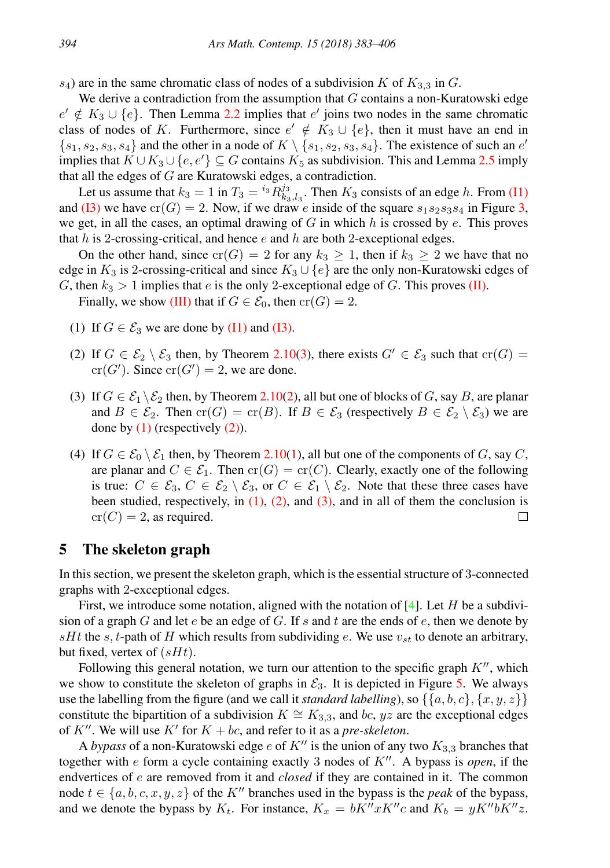$s_4$ ) are in the same chromatic class of nodes of a subdivision K of  $K_{3,3}$  in G.

We derive a contradiction from the assumption that  $G$  contains a non-Kuratowski edge  $e' \notin K_3 \cup \{e\}$ . Then Lemma [2.2](#page-2-1) implies that  $e'$  joins two nodes in the same chromatic class of nodes of K. Furthermore, since  $e' \notin K_3 \cup \{e\}$ , then it must have an end in  $\{s_1, s_2, s_3, s_4\}$  and the other in a node of  $K \setminus \{s_1, s_2, s_3, s_4\}$ . The existence of such an  $e'$ implies that  $K \cup K_3 \cup \{e, e'\} \subseteq G$  contains  $K_5$  as subdivision. This and Lemma [2.5](#page-3-2) imply that all the edges of G are Kuratowski edges, a contradiction.

Let us assume that  $k_3 = 1$  in  $T_3 = {^{i_3}R_{k_3, l_3}^{j_3}}$ . Then  $K_3$  consists of an edge h. From [\(I1\)](#page-9-2) and [\(I3\)](#page-9-3) we have  $cr(G) = 2$ . Now, if we draw e inside of the square  $s_1s_2s_3s_4$  in Figure [3,](#page-8-1) we get, in all the cases, an optimal drawing of  $G$  in which  $h$  is crossed by  $e$ . This proves that h is 2-crossing-critical, and hence  $e$  and h are both 2-exceptional edges.

On the other hand, since  $cr(G) = 2$  for any  $k_3 \ge 1$ , then if  $k_3 \ge 2$  we have that no edge in  $K_3$  is 2-crossing-critical and since  $K_3 \cup \{e\}$  are the only non-Kuratowski edges of G, then  $k_3 > 1$  implies that e is the only 2-exceptional edge of G. This proves [\(II\).](#page-9-0)

Finally, we show [\(III\)](#page-9-1) that if  $G \in \mathcal{E}_0$ , then  $cr(G) = 2$ .

- <span id="page-11-1"></span>(1) If  $G \in \mathcal{E}_3$  we are done by [\(I1\)](#page-9-2) and [\(I3\).](#page-9-3)
- <span id="page-11-2"></span>(2) If  $G \in \mathcal{E}_2 \setminus \mathcal{E}_3$  then, by Theorem [2.10](#page-4-5)[\(3\)](#page-4-3), there exists  $G' \in \mathcal{E}_3$  such that  $cr(G)$  =  $cr(G')$ . Since  $cr(G') = 2$ , we are done.
- <span id="page-11-3"></span>(3) If  $G \in \mathcal{E}_1 \backslash \mathcal{E}_2$  then, by Theorem [2.10](#page-4-5)[\(2\)](#page-4-1), all but one of blocks of G, say B, are planar and  $B \in \mathcal{E}_2$ . Then  $\text{cr}(G) = \text{cr}(B)$ . If  $B \in \mathcal{E}_3$  (respectively  $B \in \mathcal{E}_2 \setminus \mathcal{E}_3$ ) we are done by  $(1)$  (respectively  $(2)$ ).
- (4) If  $G \in \mathcal{E}_0 \setminus \mathcal{E}_1$  then, by Theorem [2.10\(](#page-4-5)[1\)](#page-4-0), all but one of the components of G, say C, are planar and  $C \in \mathcal{E}_1$ . Then  $cr(G) = cr(C)$ . Clearly, exactly one of the following is true:  $C \in \mathcal{E}_3$ ,  $C \in \mathcal{E}_2 \setminus \mathcal{E}_3$ , or  $C \in \mathcal{E}_1 \setminus \mathcal{E}_2$ . Note that these three cases have been studied, respectively, in  $(1)$ ,  $(2)$ , and  $(3)$ , and in all of them the conclusion is  $cr(C) = 2$ , as required. □

## <span id="page-11-0"></span>5 The skeleton graph

In this section, we present the skeleton graph, which is the essential structure of 3-connected graphs with 2-exceptional edges.

First, we introduce some notation, aligned with the notation of [\[4\]](#page-22-1). Let H be a subdivision of a graph G and let e be an edge of G. If s and t are the ends of e, then we denote by sHt the s, t-path of H which results from subdividing e. We use  $v_{st}$  to denote an arbitrary, but fixed, vertex of  $(sHt)$ .

Following this general notation, we turn our attention to the specific graph  $K''$ , which we show to constitute the skeleton of graphs in  $\mathcal{E}_3$ . It is depicted in Figure [5.](#page-12-0) We always use the labelling from the figure (and we call it *standard labelling*), so  $\{\{a, b, c\}, \{x, y, z\}\}\$ constitute the bipartition of a subdivision  $K \cong K_{3,3}$ , and bc, yz are the exceptional edges of  $K''$ . We will use  $K'$  for  $K + bc$ , and refer to it as a *pre-skeleton*.

A *bypass* of a non-Kuratowski edge e of  $K''$  is the union of any two  $K_{3,3}$  branches that together with  $e$  form a cycle containing exactly 3 nodes of  $K''$ . A bypass is *open*, if the endvertices of e are removed from it and *closed* if they are contained in it. The common node  $t \in \{a, b, c, x, y, z\}$  of the K<sup>n</sup> branches used in the bypass is the *peak* of the bypass, and we denote the bypass by  $K_t$ . For instance,  $K_x = bK''xK''c$  and  $K_b = yK''bK''z$ .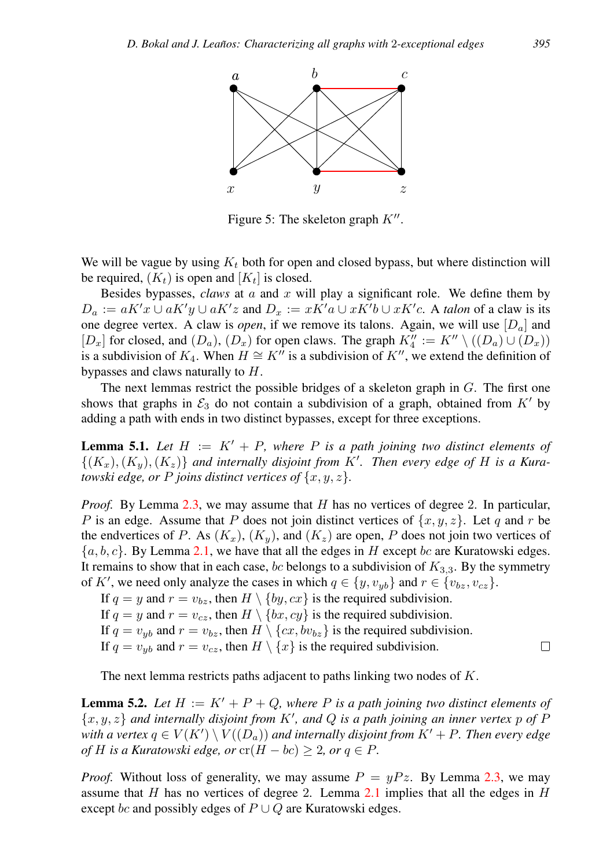

<span id="page-12-0"></span>Figure 5: The skeleton graph  $K''$ .

We will be vague by using  $K_t$  both for open and closed bypass, but where distinction will be required,  $(K_t)$  is open and  $[K_t]$  is closed.

Besides bypasses, *claws* at a and x will play a significant role. We define them by  $D_a := aK'x \cup aK'y \cup aK'z$  and  $D_x := xK'a \cup xK'b \cup xK'c$ . A *talon* of a claw is its one degree vertex. A claw is *open*, if we remove its talons. Again, we will use  $[D_a]$  and  $[D_x]$  for closed, and  $(D_a)$ ,  $(D_x)$  for open claws. The graph  $K_4'':= K'' \setminus ((D_a) \cup (D_x))$ is a subdivision of  $K_4$ . When  $H \cong K''$  is a subdivision of  $K''$ , we extend the definition of bypasses and claws naturally to H.

The next lemmas restrict the possible bridges of a skeleton graph in G. The first one shows that graphs in  $\mathcal{E}_3$  do not contain a subdivision of a graph, obtained from K' by adding a path with ends in two distinct bypasses, except for three exceptions.

<span id="page-12-1"></span>**Lemma 5.1.** Let  $H := K' + P$ , where P is a path joining two distinct elements of  $\{(K_x), (K_y), (K_z)\}\$ and internally disjoint from K'. Then every edge of H is a Kura*towski edge, or* P *joins distinct vertices of*  $\{x, y, z\}$ *.* 

*Proof.* By Lemma [2.3,](#page-2-2) we may assume that H has no vertices of degree 2. In particular, P is an edge. Assume that P does not join distinct vertices of  $\{x, y, z\}$ . Let q and r be the endvertices of P. As  $(K_x)$ ,  $(K_y)$ , and  $(K_z)$  are open, P does not join two vertices of  $\{a, b, c\}$ . By Lemma [2.1,](#page-2-0) we have that all the edges in H except bc are Kuratowski edges. It remains to show that in each case, bc belongs to a subdivision of  $K_{3,3}$ . By the symmetry of K', we need only analyze the cases in which  $q \in \{y, v_{yb}\}\$  and  $r \in \{v_{bz}, v_{cz}\}\$ .

If  $q = y$  and  $r = v_{bz}$ , then  $H \setminus \{by, cx\}$  is the required subdivision.

If  $q = y$  and  $r = v_{cz}$ , then  $H \setminus \{bx, cy\}$  is the required subdivision.

If  $q = v_{yb}$  and  $r = v_{bz}$ , then  $H \setminus \{cx, bv_{bz}\}\$ is the required subdivision.

If  $q = v_{ub}$  and  $r = v_{cz}$ , then  $H \setminus \{x\}$  is the required subdivision.

The next lemma restricts paths adjacent to paths linking two nodes of K.

<span id="page-12-2"></span>**Lemma 5.2.** Let  $H := K' + P + Q$ , where P is a path joining two distinct elements of  $\{x, y, z\}$  and internally disjoint from  $K'$ , and  $Q$  is a path joining an inner vertex  $p$  of  $P$ with a vertex  $q \in V(K') \setminus V((D_a))$  and internally disjoint from  $K' + P$ . Then every edge *of* H is a Kuratowski edge, or  $\text{cr}(H - bc) \geq 2$ , or  $q \in P$ .

*Proof.* Without loss of generality, we may assume  $P = \mu P z$ . By Lemma [2.3,](#page-2-2) we may assume that  $H$  has no vertices of degree 2. Lemma [2.1](#page-2-0) implies that all the edges in  $H$ except bc and possibly edges of  $P \cup Q$  are Kuratowski edges.

 $\Box$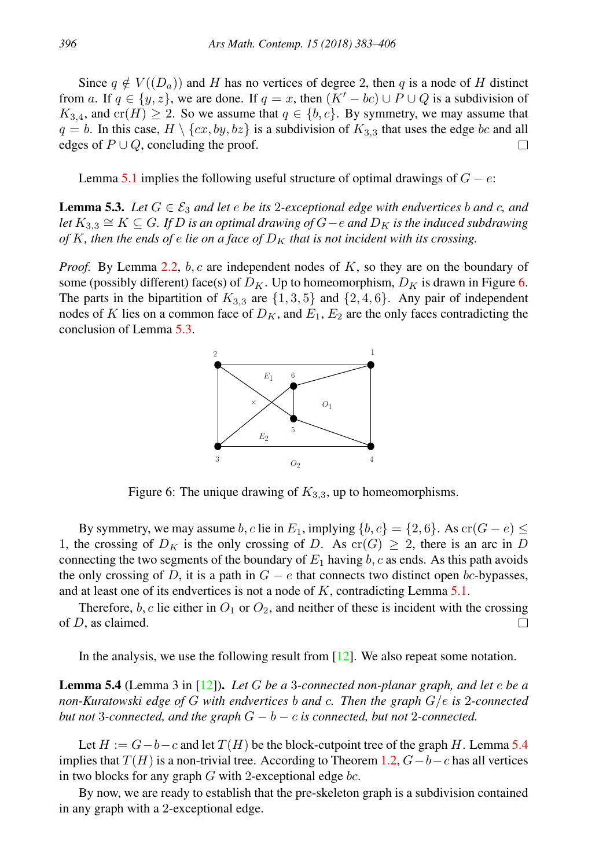Since  $q \notin V((D_q))$  and H has no vertices of degree 2, then q is a node of H distinct from a. If  $q \in \{y, z\}$ , we are done. If  $q = x$ , then  $(K' - bc) \cup P \cup Q$  is a subdivision of  $K_{3,4}$ , and cr(H)  $\geq$  2. So we assume that  $q \in \{b, c\}$ . By symmetry, we may assume that  $q = b$ . In this case,  $H \setminus \{cx, by, bz\}$  is a subdivision of  $K_{3,3}$  that uses the edge bc and all edges of  $P \cup Q$ , concluding the proof.  $\Box$ 

Lemma [5.1](#page-12-1) implies the following useful structure of optimal drawings of  $G - e$ .

<span id="page-13-1"></span>**Lemma 5.3.** Let  $G \in \mathcal{E}_3$  *and let*  $e$  *be its* 2*-exceptional edge with endvertices b and c, and*  $$ *of* K, then the ends of e lie on a face of  $D<sub>K</sub>$  that is not incident with its crossing.

*Proof.* By Lemma [2.2,](#page-2-1) b, c are independent nodes of K, so they are on the boundary of some (possibly different) face(s) of  $D_K$ . Up to homeomorphism,  $D_K$  is drawn in Figure [6.](#page-13-0) The parts in the bipartition of  $K_{3,3}$  are  $\{1, 3, 5\}$  and  $\{2, 4, 6\}$ . Any pair of independent nodes of K lies on a common face of  $D_K$ , and  $E_1, E_2$  are the only faces contradicting the conclusion of Lemma [5.3.](#page-13-1)



<span id="page-13-0"></span>Figure 6: The unique drawing of  $K_{3,3}$ , up to homeomorphisms.

By symmetry, we may assume b, c lie in E<sub>1</sub>, implying  $\{b, c\} = \{2, 6\}$ . As cr( $G - e$ )  $\le$ 1, the crossing of  $D_K$  is the only crossing of D. As  $cr(G) \geq 2$ , there is an arc in D connecting the two segments of the boundary of  $E_1$  having  $b$ ,  $c$  as ends. As this path avoids the only crossing of D, it is a path in  $G - e$  that connects two distinct open bc-bypasses, and at least one of its endvertices is not a node of  $K$ , contradicting Lemma [5.1.](#page-12-1)

Therefore,  $b, c$  lie either in  $O_1$  or  $O_2$ , and neither of these is incident with the crossing of D, as claimed.  $\Box$ 

In the analysis, we use the following result from  $[12]$ . We also repeat some notation.

<span id="page-13-2"></span>Lemma 5.4 (Lemma 3 in [\[12\]](#page-23-0)). *Let* G *be a* 3*-connected non-planar graph, and let* e *be a non-Kuratowski edge of* G *with endvertices* b *and* c*. Then the graph* G/e *is* 2*-connected but not* 3*-connected, and the graph*  $G - b - c$  *is connected, but not* 2*-connected.* 

Let  $H := G - b - c$  and let  $T(H)$  be the block-cutpoint tree of the graph H. Lemma [5.4](#page-13-2) implies that  $T(H)$  is a non-trivial tree. According to Theorem [1.2,](#page-1-2)  $G-b-c$  has all vertices in two blocks for any graph  $G$  with 2-exceptional edge  $bc$ .

By now, we are ready to establish that the pre-skeleton graph is a subdivision contained in any graph with a 2-exceptional edge.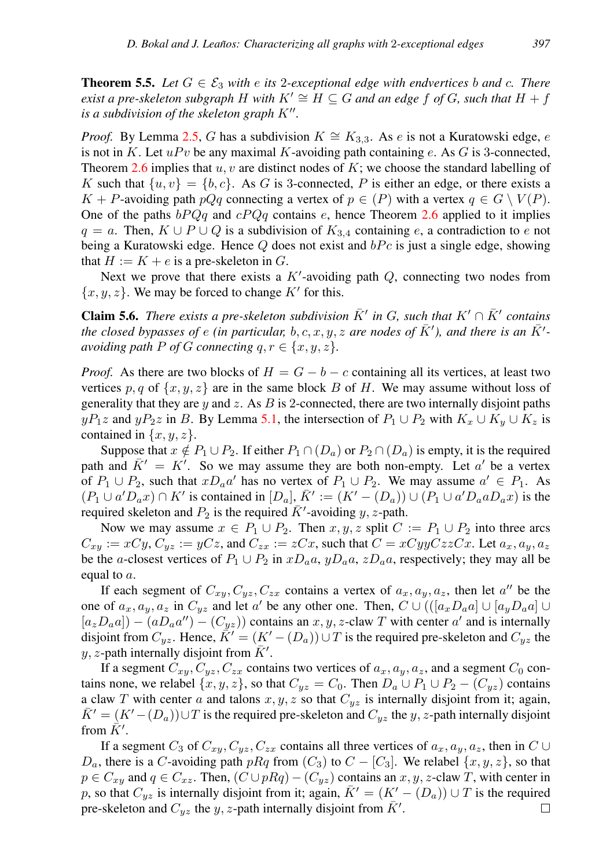<span id="page-14-1"></span>**Theorem 5.5.** Let  $G \in \mathcal{E}_3$  with e its 2-exceptional edge with endvertices b and c. There *exist a pre-skeleton subgraph* H with  $K' \cong H \subseteq G$  *and an edge* f *of* G, such that  $H + f$ *is a subdivision of the skeleton graph*  $K''$ .

*Proof.* By Lemma [2.5,](#page-3-2) G has a subdivision  $K \cong K_{3,3}$ . As e is not a Kuratowski edge, e is not in K. Let  $uPv$  be any maximal K-avoiding path containing e. As G is 3-connected, Theorem [2.6](#page-3-0) implies that  $u, v$  are distinct nodes of K; we choose the standard labelling of K such that  $\{u, v\} = \{b, c\}$ . As G is 3-connected, P is either an edge, or there exists a  $K + P$ -avoiding path  $pQq$  connecting a vertex of  $p \in (P)$  with a vertex  $q \in G \setminus V(P)$ . One of the paths  $bPQq$  and  $cPQq$  contains e, hence Theorem [2.6](#page-3-0) applied to it implies  $q = a$ . Then,  $K \cup P \cup Q$  is a subdivision of  $K_{3,4}$  containing e, a contradiction to e not being a Kuratowski edge. Hence  $Q$  does not exist and  $bPc$  is just a single edge, showing that  $H := K + e$  is a pre-skeleton in G.

Next we prove that there exists a  $K'$ -avoiding path  $Q$ , connecting two nodes from  ${x, y, z}$ . We may be forced to change K' for this.

<span id="page-14-0"></span>**Claim 5.6.** There exists a pre-skeleton subdivision  $\bar{K}'$  in G, such that  $K' \cap \bar{K}'$  contains *the closed bypasses of e (in particular, b, c, x, y, z are nodes of*  $\bar{K}'$ *), and there is an*  $\bar{K}'$ *avoiding path*  $P$  *of*  $G$  *connecting*  $q, r \in \{x, y, z\}$ *.* 

*Proof.* As there are two blocks of  $H = G - b - c$  containing all its vertices, at least two vertices p, q of  $\{x, y, z\}$  are in the same block B of H. We may assume without loss of generality that they are  $y$  and  $z$ . As  $B$  is 2-connected, there are two internally disjoint paths  $yP_1z$  and  $yP_2z$  in B. By Lemma [5.1,](#page-12-1) the intersection of  $P_1 \cup P_2$  with  $K_x \cup K_y \cup K_z$  is contained in  $\{x, y, z\}$ .

Suppose that  $x \notin P_1 \cup P_2$ . If either  $P_1 \cap (D_a)$  or  $P_2 \cap (D_a)$  is empty, it is the required path and  $\overline{K}' = K'$ . So we may assume they are both non-empty. Let a' be a vertex of  $P_1 \cup P_2$ , such that  $xD_a a'$  has no vertex of  $P_1 \cup P_2$ . We may assume  $a' \in P_1$ . As  $(P_1 \cup a'D_a x) \cap K'$  is contained in  $[D_a], \overline{K}':=(K'-(D_a)) \cup (P_1 \cup a'D_a a D_a x)$  is the required skeleton and  $P_2$  is the required  $\overline{K}'$ -avoiding y, z-path.

Now we may assume  $x \in P_1 \cup P_2$ . Then  $x, y, z$  split  $C := P_1 \cup P_2$  into three arcs  $C_{xy} := xCy, C_{yz} := yCz$ , and  $C_{zx} := zCx$ , such that  $C = xCyyCzzCx$ . Let  $a_x, a_y, a_z$ be the a-closest vertices of  $P_1 \cup P_2$  in  $xD_a a, yD_a a, zD_a a$ , respectively; they may all be equal to  $a$ .

If each segment of  $C_{xy}, C_{yz}, C_{zx}$  contains a vertex of  $a_x, a_y, a_z$ , then let  $a''$  be the one of  $a_x, a_y, a_z$  in  $C_{yz}$  and let a' be any other one. Then,  $C \cup (([a_x D_a a] \cup [a_y D_a a] \cup$  $[a_z D_a a]$  –  $(a D_a a'') - (C_{yz})$  contains an x, y, z-claw T with center a' and is internally disjoint from  $C_{yz}$ . Hence,  $K' = (K' - (D_a)) \cup T$  is the required pre-skeleton and  $C_{yz}$  the y, z-path internally disjoint from  $\overline{K}'$ .

If a segment  $C_{xy}$ ,  $C_{yz}$ ,  $C_{zx}$  contains two vertices of  $a_x$ ,  $a_y$ ,  $a_z$ , and a segment  $C_0$  contains none, we relabel  $\{x, y, z\}$ , so that  $C_{yz} = C_0$ . Then  $D_a \cup P_1 \cup P_2 - (C_{yz})$  contains a claw T with center a and talons  $x, y, z$  so that  $C_{yz}$  is internally disjoint from it; again,  $\overline{K}^{\prime} = (K^{\prime} - (D_a)) \cup T$  is the required pre-skeleton and  $C_{yz}$  the y, z-path internally disjoint from  $\vec{K}'$ .

If a segment  $C_3$  of  $C_{xy}$ ,  $C_{yz}$ ,  $C_{zx}$  contains all three vertices of  $a_x$ ,  $a_y$ ,  $a_z$ , then in  $C \cup$  $D_a$ , there is a C-avoiding path pRq from  $(C_3)$  to  $C - [C_3]$ . We relabel  $\{x, y, z\}$ , so that  $p \in C_{xy}$  and  $q \in C_{xz}$ . Then,  $(C \cup pRq) - (C_{yz})$  contains an  $x, y, z$ -claw T, with center in p, so that  $C_{yz}$  is internally disjoint from it; again,  $\bar{K}' = (K' - (D_a)) \cup T$  is the required pre-skeleton and  $C_{yz}$  the y, z-path internally disjoint from  $\overline{K}'$ .  $\Box$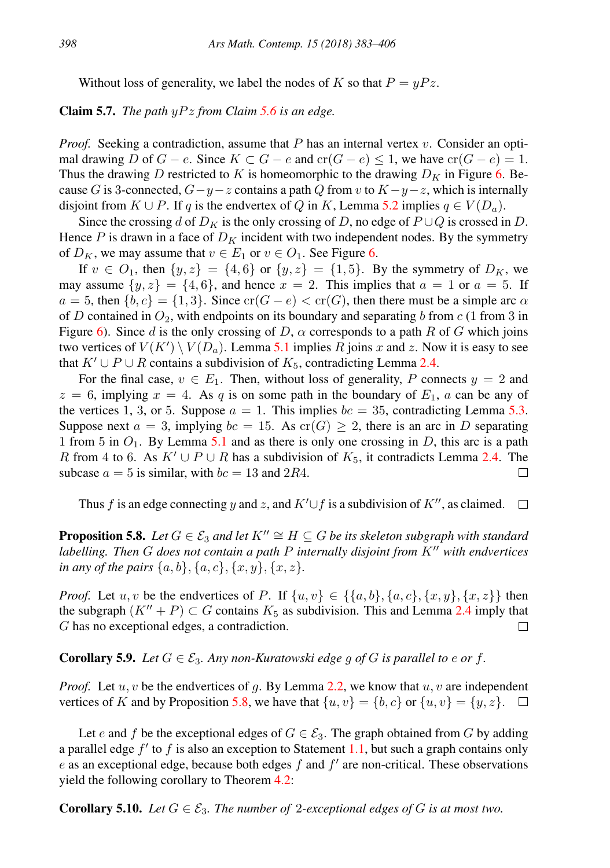Without loss of generality, we label the nodes of K so that  $P = yPz$ .

## Claim 5.7. *The path* yP z *from Claim [5.6](#page-14-0) is an edge.*

*Proof.* Seeking a contradiction, assume that  $P$  has an internal vertex  $v$ . Consider an optimal drawing D of  $G - e$ . Since  $K \subset G - e$  and  $cr(G - e) \leq 1$ , we have  $cr(G - e) = 1$ . Thus the drawing D restricted to K is homeomorphic to the drawing  $D_K$  in Figure [6.](#page-13-0) Because G is 3-connected,  $G-y-z$  contains a path Q from v to  $K-y-z$ , which is internally disjoint from  $K \cup P$ . If q is the endvertex of Q in K, Lemma [5.2](#page-12-2) implies  $q \in V(D_q)$ .

Since the crossing d of  $D_K$  is the only crossing of D, no edge of  $P \cup Q$  is crossed in D. Hence P is drawn in a face of  $D_K$  incident with two independent nodes. By the symmetry of  $D_K$ , we may assume that  $v \in E_1$  or  $v \in O_1$ . See Figure [6.](#page-13-0)

If  $v \in O_1$ , then  $\{y, z\} = \{4, 6\}$  or  $\{y, z\} = \{1, 5\}$ . By the symmetry of  $D_K$ , we may assume  $\{y, z\} = \{4, 6\}$ , and hence  $x = 2$ . This implies that  $a = 1$  or  $a = 5$ . If  $a = 5$ , then  ${b, c} = {1, 3}$ . Since  $\operatorname{cr}(G - e) < \operatorname{cr}(G)$ , then there must be a simple arc  $\alpha$ of D contained in  $O_2$ , with endpoints on its boundary and separating b from c (1 from 3 in Figure [6\)](#page-13-0). Since d is the only crossing of D,  $\alpha$  corresponds to a path R of G which joins two vertices of  $V(K') \setminus V(D_a)$ . Lemma [5.1](#page-12-1) implies R joins x and z. Now it is easy to see that  $K' \cup P \cup R$  contains a subdivision of  $K_5$ , contradicting Lemma [2.4.](#page-3-1)

For the final case,  $v \in E_1$ . Then, without loss of generality, P connects  $y = 2$  and  $z = 6$ , implying  $x = 4$ . As q is on some path in the boundary of  $E_1$ , a can be any of the vertices 1, 3, or 5. Suppose  $a = 1$ . This implies  $bc = 35$ , contradicting Lemma [5.3.](#page-13-1) Suppose next  $a = 3$ , implying  $bc = 15$ . As  $cr(G) \geq 2$ , there is an arc in D separating 1 from 5 in  $O_1$ . By Lemma [5.1](#page-12-1) and as there is only one crossing in D, this arc is a path R from 4 to 6. As  $K' \cup P \cup R$  has a subdivision of  $K_5$ , it contradicts Lemma [2.4.](#page-3-1) The subcase  $a = 5$  is similar, with  $bc = 13$  and 2R4. П

Thus f is an edge connecting y and z, and  $K' \cup f$  is a subdivision of  $K''$ , as claimed.  $\square$ 

<span id="page-15-0"></span>**Proposition 5.8.** *Let*  $G \in \mathcal{E}_3$  *and let*  $K'' \cong H \subseteq G$  *be its skeleton subgraph with standard labelling. Then* G *does not contain a path* P *internally disjoint from* K<sup>*n*</sup> *with endvertices in any of the pairs*  $\{a, b\}, \{a, c\}, \{x, y\}, \{x, z\}.$ 

*Proof.* Let  $u, v$  be the endvertices of P. If  $\{u, v\} \in \{\{a, b\}, \{a, c\}, \{x, y\}, \{x, z\}\}\$  then the subgraph  $(K'' + P) \subset G$  contains  $K_5$  as subdivision. This and Lemma [2.4](#page-3-1) imply that  $\Box$ G has no exceptional edges, a contradiction.

# <span id="page-15-1"></span>**Corollary 5.9.** *Let*  $G \in \mathcal{E}_3$ *. Any non-Kuratowski edge g of*  $G$  *is parallel to e or f.*

*Proof.* Let  $u, v$  be the endvertices of q. By Lemma [2.2,](#page-2-1) we know that  $u, v$  are independent vertices of K and by Proposition [5.8,](#page-15-0) we have that  $\{u, v\} = \{b, c\}$  or  $\{u, v\} = \{y, z\}$ .  $\Box$ 

Let e and f be the exceptional edges of  $G \in \mathcal{E}_3$ . The graph obtained from G by adding a parallel edge  $f'$  to  $f$  is also an exception to Statement [1.1,](#page-1-1) but such a graph contains only  $e$  as an exceptional edge, because both edges  $f$  and  $f'$  are non-critical. These observations yield the following corollary to Theorem [4.2:](#page-8-0)

**Corollary 5.10.** *Let*  $G \in \mathcal{E}_3$ *. The number of 2-exceptional edges of G is at most two.*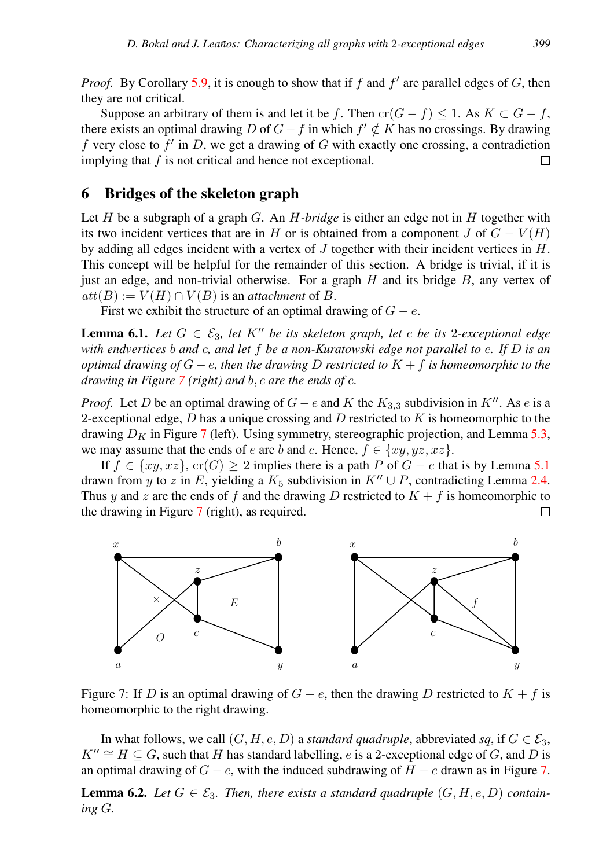*Proof.* By Corollary [5.9,](#page-15-1) it is enough to show that if  $f$  and  $f'$  are parallel edges of  $G$ , then they are not critical.

Suppose an arbitrary of them is and let it be f. Then  $cr(G - f) \leq 1$ . As  $K \subset G - f$ , there exists an optimal drawing D of  $G - f$  in which  $f' \notin K$  has no crossings. By drawing f very close to  $f'$  in D, we get a drawing of G with exactly one crossing, a contradiction implying that  $f$  is not critical and hence not exceptional.  $\Box$ 

# <span id="page-16-0"></span>6 Bridges of the skeleton graph

Let  $H$  be a subgraph of a graph  $G$ . An  $H$ -bridge is either an edge not in  $H$  together with its two incident vertices that are in H or is obtained from a component J of  $G - V(H)$ by adding all edges incident with a vertex of  $J$  together with their incident vertices in  $H$ . This concept will be helpful for the remainder of this section. A bridge is trivial, if it is just an edge, and non-trivial otherwise. For a graph  $H$  and its bridge  $B$ , any vertex of  $att(B) := V(H) \cap V(B)$  is an *attachment* of B.

First we exhibit the structure of an optimal drawing of  $G - e$ .

<span id="page-16-2"></span>**Lemma 6.1.** Let  $G \in \mathcal{E}_3$ , let  $K''$  be its skeleton graph, let e be its 2-exceptional edge *with endvertices* b *and* c*, and let* f *be a non-Kuratowski edge not parallel to* e*. If* D *is an optimal drawing of* G − e*, then the drawing* D *restricted to* K + f *is homeomorphic to the drawing in Figure [7](#page-16-1) (right) and* b, c *are the ends of* e*.*

*Proof.* Let D be an optimal drawing of  $G - e$  and K the  $K_{3,3}$  subdivision in K<sup>n</sup>. As e is a 2-exceptional edge, D has a unique crossing and D restricted to  $K$  is homeomorphic to the drawing  $D_K$  in Figure [7](#page-16-1) (left). Using symmetry, stereographic projection, and Lemma [5.3,](#page-13-1) we may assume that the ends of e are b and c. Hence,  $f \in \{xy, yz, xz\}$ .

If  $f \in \{xy, xz\}$ ,  $cr(G) \ge 2$  implies there is a path P of  $G - e$  that is by Lemma [5.1](#page-12-1) drawn from y to z in E, yielding a  $K_5$  subdivision in  $K'' \cup P$ , contradicting Lemma [2.4.](#page-3-1) Thus y and z are the ends of f and the drawing D restricted to  $K + f$  is homeomorphic to the drawing in Figure [7](#page-16-1) (right), as required. П



<span id="page-16-1"></span>Figure 7: If D is an optimal drawing of  $G - e$ , then the drawing D restricted to  $K + f$  is homeomorphic to the right drawing.

In what follows, we call  $(G, H, e, D)$  a *standard quadruple*, abbreviated *sq*, if  $G \in \mathcal{E}_3$ ,  $K'' \cong H \subseteq G$ , such that H has standard labelling, e is a 2-exceptional edge of G, and D is an optimal drawing of  $G - e$ , with the induced subdrawing of  $H - e$  drawn as in Figure [7.](#page-16-1)

**Lemma 6.2.** Let  $G \in \mathcal{E}_3$ . Then, there exists a standard quadruple  $(G, H, e, D)$  contain*ing* G*.*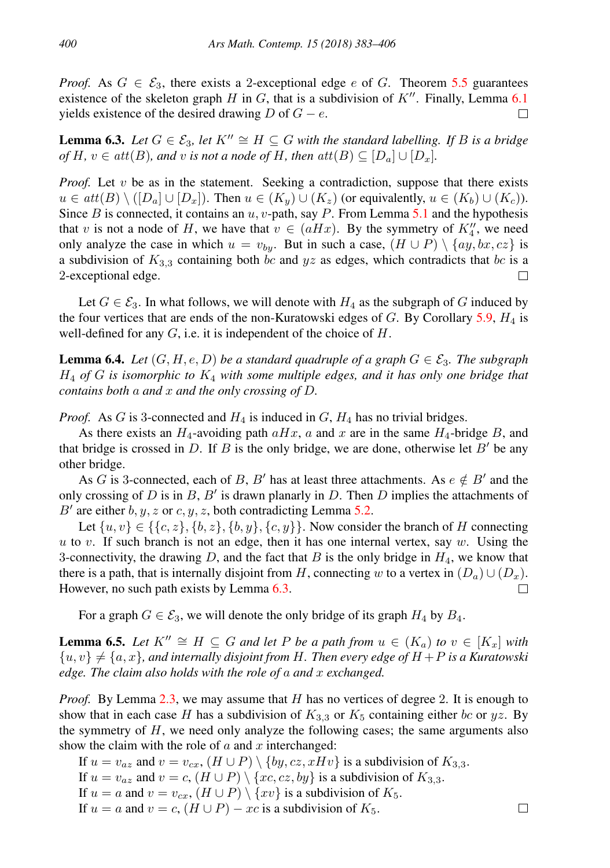*Proof.* As  $G \in \mathcal{E}_3$ , there exists a 2-exceptional edge e of G. Theorem [5.5](#page-14-1) guarantees existence of the skeleton graph H in G, that is a subdivision of  $K''$ . Finally, Lemma [6.1](#page-16-2) yields existence of the desired drawing  $D$  of  $G - e$ .  $\Box$ 

<span id="page-17-0"></span>**Lemma 6.3.** *Let*  $G \in \mathcal{E}_3$ , *let*  $K'' \cong H \subseteq G$  *with the standard labelling. If B is a bridge of*  $H, v \in att(B)$ *, and v is not a node of*  $H$ *, then*  $att(B) \subseteq [D_a] \cup [D_x]$ *.* 

*Proof.* Let  $v$  be as in the statement. Seeking a contradiction, suppose that there exists  $u \in att(B) \setminus ([D_a] \cup [D_x])$ . Then  $u \in (K_u) \cup (K_z)$  (or equivalently,  $u \in (K_b) \cup (K_c)$ ). Since B is connected, it contains an  $u$ , v-path, say P. From Lemma [5.1](#page-12-1) and the hypothesis that v is not a node of H, we have that  $v \in (aHx)$ . By the symmetry of  $K_4''$ , we need only analyze the case in which  $u = v_{by}$ . But in such a case,  $(H \cup P) \setminus \{ay, bx, cz\}$  is a subdivision of  $K_{3,3}$  containing both bc and yz as edges, which contradicts that bc is a 2-exceptional edge.  $\Box$ 

Let  $G \in \mathcal{E}_3$ . In what follows, we will denote with  $H_4$  as the subgraph of G induced by the four vertices that are ends of the non-Kuratowski edges of  $G$ . By Corollary [5.9,](#page-15-1)  $H_4$  is well-defined for any  $G$ , i.e. it is independent of the choice of  $H$ .

<span id="page-17-2"></span>**Lemma 6.4.** *Let*  $(G, H, e, D)$  *be a standard quadruple of a graph*  $G \in \mathcal{E}_3$ *. The subgraph* H<sup>4</sup> *of* G *is isomorphic to* K<sup>4</sup> *with some multiple edges, and it has only one bridge that contains both* a *and* x *and the only crossing of* D*.*

*Proof.* As G is 3-connected and  $H_4$  is induced in  $G$ ,  $H_4$  has no trivial bridges.

As there exists an  $H_4$ -avoiding path  $aHx$ , a and x are in the same  $H_4$ -bridge B, and that bridge is crossed in D. If B is the only bridge, we are done, otherwise let  $B'$  be any other bridge.

As G is 3-connected, each of B, B' has at least three attachments. As  $e \notin B'$  and the only crossing of  $D$  is in  $B$ ,  $B'$  is drawn planarly in  $D$ . Then  $D$  implies the attachments of B' are either  $b, y, z$  or  $c, y, z$ , both contradicting Lemma [5.2.](#page-12-2)

Let  $\{u, v\} \in \{\{c, z\}, \{b, z\}, \{b, y\}, \{c, y\}\}\$ . Now consider the branch of H connecting u to v. If such branch is not an edge, then it has one internal vertex, say w. Using the 3-connectivity, the drawing D, and the fact that B is the only bridge in  $H_4$ , we know that there is a path, that is internally disjoint from H, connecting w to a vertex in  $(D_a) \cup (D_x)$ . However, no such path exists by Lemma [6.3.](#page-17-0)  $\Box$ 

For a graph  $G \in \mathcal{E}_3$ , we will denote the only bridge of its graph  $H_4$  by  $B_4$ .

<span id="page-17-1"></span>**Lemma 6.5.** Let  $K'' \cong H \subseteq G$  and let P be a path from  $u \in (K_a)$  to  $v \in [K_x]$  with  ${u, v} \neq {a, x}$ *, and internally disjoint from H. Then every edge of H + P is a Kuratowski edge. The claim also holds with the role of* a *and* x *exchanged.*

*Proof.* By Lemma [2.3,](#page-2-2) we may assume that H has no vertices of degree 2. It is enough to show that in each case H has a subdivision of  $K_{3,3}$  or  $K_5$  containing either bc or yz. By the symmetry of  $H$ , we need only analyze the following cases; the same arguments also show the claim with the role of  $a$  and  $x$  interchanged:

 $\Box$ 

If  $u = v_{az}$  and  $v = v_{cx}$ ,  $(H \cup P) \setminus \{by, cz, xHv\}$  is a subdivision of  $K_{3,3}$ . If  $u = v_{az}$  and  $v = c$ ,  $(H \cup P) \setminus \{xc, cz, by\}$  is a subdivision of  $K_{3,3}$ . If  $u = a$  and  $v = v_{cx}$ ,  $(H \cup P) \setminus \{xv\}$  is a subdivision of  $K_5$ . If  $u = a$  and  $v = c$ ,  $(H \cup P) - xc$  is a subdivision of  $K_5$ .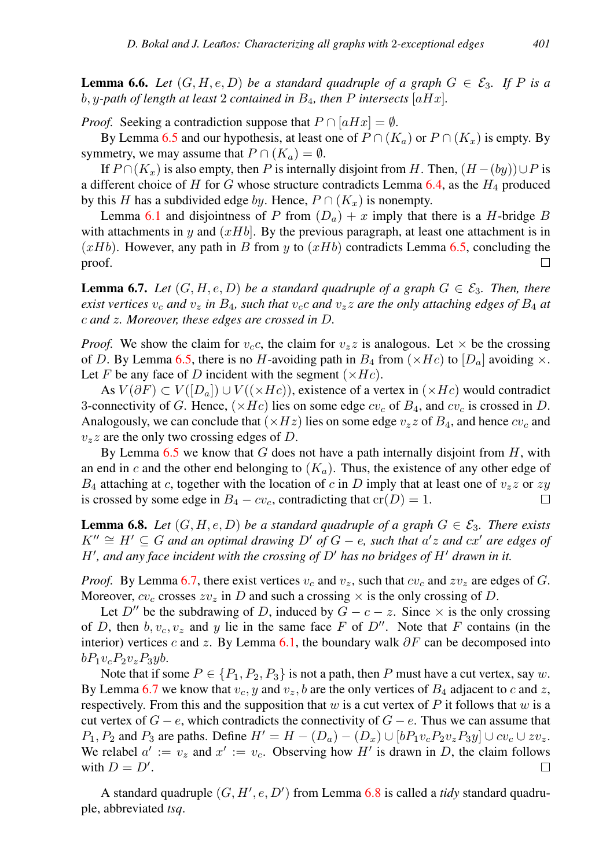<span id="page-18-2"></span>**Lemma 6.6.** Let  $(G, H, e, D)$  be a standard quadruple of a graph  $G \in \mathcal{E}_3$ . If P is a b, y-path of length at least 2 contained in  $B_4$ , then P intersects  $[aHx]$ .

*Proof.* Seeking a contradiction suppose that  $P \cap [aHx] = \emptyset$ .

By Lemma [6.5](#page-17-1) and our hypothesis, at least one of  $P \cap (K_a)$  or  $P \cap (K_x)$  is empty. By symmetry, we may assume that  $P \cap (K_a) = \emptyset$ .

If  $P \cap (K_x)$  is also empty, then P is internally disjoint from H. Then,  $(H - (by)) \cup P$  is a different choice of H for G whose structure contradicts Lemma  $6.4$ , as the  $H_4$  produced by this H has a subdivided edge by. Hence,  $P \cap (K_x)$  is nonempty.

Lemma [6.1](#page-16-2) and disjointness of P from  $(D_a) + x$  imply that there is a H-bridge B with attachments in y and  $(xHb)$ . By the previous paragraph, at least one attachment is in  $(xHb)$ . However, any path in B from y to  $(xHb)$  contradicts Lemma [6.5,](#page-17-1) concluding the proof. □

<span id="page-18-0"></span>**Lemma 6.7.** Let  $(G, H, e, D)$  be a standard quadruple of a graph  $G \in \mathcal{E}_3$ . Then, there *exist vertices*  $v_c$  *and*  $v_z$  *in*  $B_4$ *, such that*  $v_c c$  *and*  $v_z z$  *are the only attaching edges of*  $B_4$  *at* c *and* z*. Moreover, these edges are crossed in* D*.*

*Proof.* We show the claim for  $v_c$ , the claim for  $v_z$  is analogous. Let  $\times$  be the crossing of D. By Lemma [6.5,](#page-17-1) there is no H-avoiding path in  $B_4$  from  $(\times He)$  to  $[D_a]$  avoiding  $\times$ . Let F be any face of D incident with the segment  $(\times Hc)$ .

As  $V(\partial F) \subset V([D_a]) \cup V((\times H_c))$ , existence of a vertex in  $(\times H_c)$  would contradict 3-connectivity of G. Hence,  $(\times Hc)$  lies on some edge  $cv_c$  of  $B_4$ , and  $cv_c$  is crossed in D. Analogously, we can conclude that  $(\times Hz)$  lies on some edge  $v_zz$  of  $B_4$ , and hence  $cv_c$  and  $v_z$ z are the only two crossing edges of D.

By Lemma  $6.5$  we know that G does not have a path internally disjoint from  $H$ , with an end in c and the other end belonging to  $(K_a)$ . Thus, the existence of any other edge of  $B_4$  attaching at c, together with the location of c in D imply that at least one of  $v_zz$  or  $zy$ is crossed by some edge in  $B_4 - cv_c$ , contradicting that  $cr(D) = 1$ . П

<span id="page-18-1"></span>**Lemma 6.8.** Let  $(G, H, e, D)$  be a standard quadruple of a graph  $G \in \mathcal{E}_3$ . There exists  $K'' \cong H' \subseteq G$  *and an optimal drawing*  $D'$  *of*  $G - e$ *, such that*  $a'z$  *and*  $cx'$  *are edges of*  $H'$ , and any face incident with the crossing of  $D'$  has no bridges of  $H'$  drawn in it.

*Proof.* By Lemma [6.7,](#page-18-0) there exist vertices  $v_c$  and  $v_z$ , such that  $cv_c$  and  $zv_z$  are edges of G. Moreover,  $cv_c$  crosses  $zv_z$  in D and such a crossing  $\times$  is the only crossing of D.

Let D<sup>*n*</sup> be the subdrawing of D, induced by  $G - c - z$ . Since  $\times$  is the only crossing of D, then  $b, v_c, v_z$  and y lie in the same face F of D''. Note that F contains (in the interior) vertices c and z. By Lemma [6.1,](#page-16-2) the boundary walk  $\partial F$  can be decomposed into  $bP_1v_cP_2v_zP_3yb.$ 

Note that if some  $P \in \{P_1, P_2, P_3\}$  is not a path, then P must have a cut vertex, say w. By Lemma [6.7](#page-18-0) we know that  $v_c$ , y and  $v_z$ , b are the only vertices of  $B_4$  adjacent to c and z, respectively. From this and the supposition that  $w$  is a cut vertex of  $P$  it follows that  $w$  is a cut vertex of  $G - e$ , which contradicts the connectivity of  $G - e$ . Thus we can assume that  $P_1, P_2$  and  $P_3$  are paths. Define  $H' = H - (D_a) - (D_x) \cup [bP_1v_cP_2v_zP_3y] \cup cv_c \cup zv_z$ . We relabel  $a' := v_z$  and  $x' := v_c$ . Observing how H' is drawn in D, the claim follows with  $D = D'$ .  $\Box$ 

A standard quadruple  $(G, H', e, D')$  from Lemma [6.8](#page-18-1) is called a *tidy* standard quadruple, abbreviated *tsq*.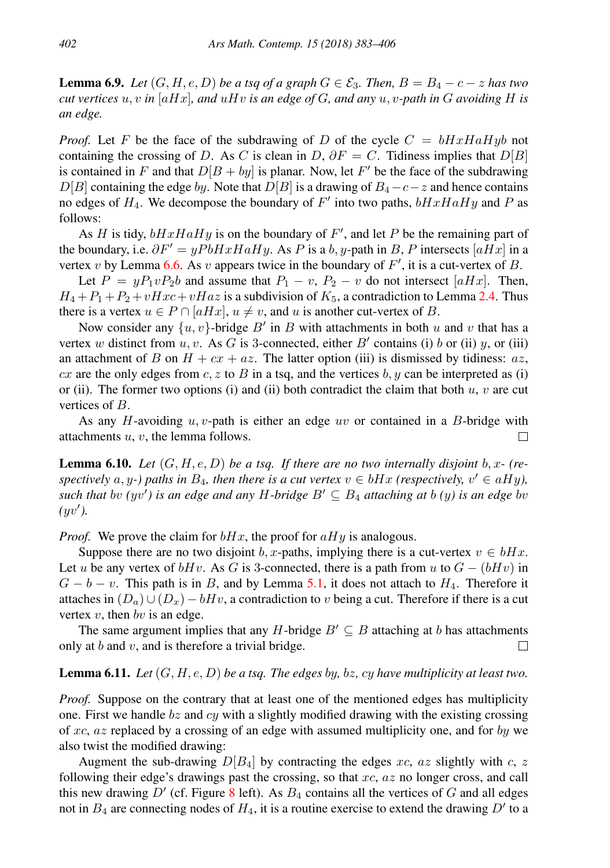<span id="page-19-0"></span>**Lemma 6.9.** *Let*  $(G, H, e, D)$  *be a tsq of a graph*  $G \in \mathcal{E}_3$ . *Then,*  $B = B_4 - c - z$  *has two cut vertices*  $u, v$  *in* [aHx]*, and*  $uHv$  *is an edge of*  $G$ *, and any*  $u, v$ -path *in*  $G$  *avoiding*  $H$  *is an edge.*

*Proof.* Let F be the face of the subdrawing of D of the cycle  $C = bHxHaHyb$  not containing the crossing of D. As C is clean in D,  $\partial F = C$ . Tidiness implies that  $D[B]$ is contained in F and that  $D[B + by]$  is planar. Now, let F' be the face of the subdrawing  $D[B]$  containing the edge by. Note that  $D[B]$  is a drawing of  $B_4-c-z$  and hence contains no edges of  $H_4$ . We decompose the boundary of  $F'$  into two paths,  $bHxHaHy$  and P as follows:

As H is tidy,  $bHxHaHy$  is on the boundary of F', and let P be the remaining part of the boundary, i.e.  $\partial F' = yPbHxHaHy$ . As P is a b, y-path in B, P intersects [aHx] in a vertex v by Lemma [6.6.](#page-18-2) As v appears twice in the boundary of  $F'$ , it is a cut-vertex of B.

Let  $P = yP_1vP_2b$  and assume that  $P_1 - v$ ,  $P_2 - v$  do not intersect [aHx]. Then,  $H_4 + P_1 + P_2 + vHxc + vHaz$  is a subdivision of  $K_5$ , a contradiction to Lemma [2.4.](#page-3-1) Thus there is a vertex  $u \in P \cap [aHx], u \neq v$ , and u is another cut-vertex of B.

Now consider any  $\{u, v\}$ -bridge  $B'$  in  $B$  with attachments in both  $u$  and  $v$  that has a vertex w distinct from  $u, v$ . As G is 3-connected, either B' contains (i) b or (ii) y, or (iii) an attachment of B on  $H + cx + az$ . The latter option (iii) is dismissed by tidiness: az, cx are the only edges from c, z to B in a tsq, and the vertices b, y can be interpreted as (i) or (ii). The former two options (i) and (ii) both contradict the claim that both  $u, v$  are cut vertices of B.

As any H-avoiding  $u, v$ -path is either an edge uv or contained in a B-bridge with attachments u, v, the lemma follows. П

<span id="page-19-2"></span>**Lemma 6.10.** Let  $(G, H, e, D)$  be a tsq. If there are no two internally disjoint b, x- (re*spectively*  $a, y$ -) paths in  $B_4$ , then there is a cut vertex  $v \in bHx$  (respectively,  $v' \in aHy$ ), *such that*  $\partial v$  *(yv') is an edge and any* H-bridge  $B' \subseteq B_4$  *attaching at*  $\partial v$  *(y) is an edge*  $\partial v$  $(yv')$ .

*Proof.* We prove the claim for  $bHx$ , the proof for  $aHy$  is analogous.

Suppose there are no two disjoint b, x-paths, implying there is a cut-vertex  $v \in bHx$ . Let u be any vertex of  $bHv$ . As G is 3-connected, there is a path from u to  $G - (bHv)$  in  $G - b - v$ . This path is in B, and by Lemma [5.1,](#page-12-1) it does not attach to  $H<sub>4</sub>$ . Therefore it attaches in  $(D_a) \cup (D_x) - bHv$ , a contradiction to v being a cut. Therefore if there is a cut vertex  $v$ , then  $bv$  is an edge.

The same argument implies that any H-bridge  $B' \subseteq B$  attaching at b has attachments only at  $b$  and  $v$ , and is therefore a trivial bridge. □

#### <span id="page-19-1"></span>Lemma 6.11. *Let* (G, H, e, D) *be a tsq. The edges* by*,* bz*,* cy *have multiplicity at least two.*

*Proof.* Suppose on the contrary that at least one of the mentioned edges has multiplicity one. First we handle  $bz$  and  $cy$  with a slightly modified drawing with the existing crossing of  $xc$ ,  $az$  replaced by a crossing of an edge with assumed multiplicity one, and for by we also twist the modified drawing:

Augment the sub-drawing  $D[B_4]$  by contracting the edges xc, az slightly with c, z following their edge's drawings past the crossing, so that  $xc$ ,  $az$  no longer cross, and call this new drawing  $D'$  (cf. Figure [8](#page-20-0) left). As  $B_4$  contains all the vertices of G and all edges not in  $B_4$  are connecting nodes of  $H_4$ , it is a routine exercise to extend the drawing  $D'$  to a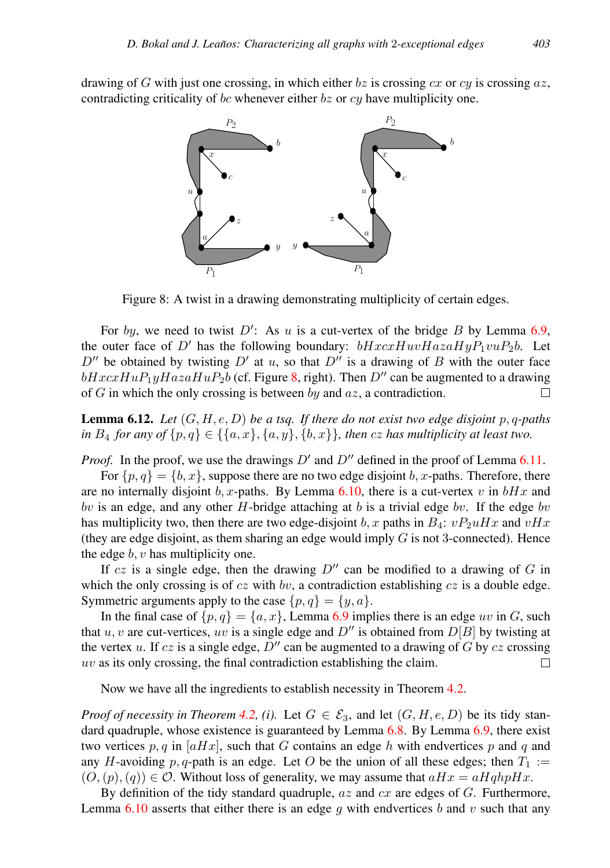drawing of G with just one crossing, in which either  $bz$  is crossing  $cx$  or  $cy$  is crossing  $az$ , contradicting criticality of bc whenever either  $bz$  or  $cy$  have multiplicity one.



<span id="page-20-0"></span>Figure 8: A twist in a drawing demonstrating multiplicity of certain edges.

For by, we need to twist  $D'$ : As u is a cut-vertex of the bridge B by Lemma [6.9,](#page-19-0) the outer face of D' has the following boundary:  $bHxcxHuvHazaHyP_1vuP_2b$ . Let  $D''$  be obtained by twisting  $D'$  at u, so that  $D''$  is a drawing of B with the outer face  $bHxcxHuP_1uHazaHuP_2b$  (cf. Figure [8,](#page-20-0) right). Then D'' can be augmented to a drawing of G in which the only crossing is between by and  $az$ , a contradiction. П

<span id="page-20-1"></span>Lemma 6.12. *Let* (G, H, e, D) *be a tsq. If there do not exist two edge disjoint* p, q*-paths in*  $B_4$  *for any of*  $\{p, q\} \in \{\{a, x\}, \{a, y\}, \{b, x\}\}\$ , *then cz has multiplicity at least two.* 

*Proof.* In the proof, we use the drawings  $D'$  and  $D''$  defined in the proof of Lemma [6.11.](#page-19-1)

For  $\{p, q\} = \{b, x\}$ , suppose there are no two edge disjoint b, x-paths. Therefore, there are no internally disjoint b, x-paths. By Lemma [6.10,](#page-19-2) there is a cut-vertex v in  $bHx$  and bv is an edge, and any other H-bridge attaching at b is a trivial edge bv. If the edge bv has multiplicity two, then there are two edge-disjoint b, x paths in  $B_4$ :  $vP_2uHx$  and  $vHx$ (they are edge disjoint, as them sharing an edge would imply  $G$  is not 3-connected). Hence the edge  $b, v$  has multiplicity one.

If cz is a single edge, then the drawing  $D''$  can be modified to a drawing of G in which the only crossing is of  $cz$  with  $bv$ , a contradiction establishing  $cz$  is a double edge. Symmetric arguments apply to the case  $\{p, q\} = \{y, a\}.$ 

In the final case of  $\{p, q\} = \{a, x\}$ , Lemma [6.9](#page-19-0) implies there is an edge uv in G, such that u, v are cut-vertices, uv is a single edge and  $D''$  is obtained from  $D[B]$  by twisting at the vertex u. If cz is a single edge,  $D''$  can be augmented to a drawing of G by cz crossing  $uv$  as its only crossing, the final contradiction establishing the claim.  $\Box$ 

Now we have all the ingredients to establish necessity in Theorem [4.2.](#page-8-0)

*Proof of necessity in Theorem [4.2,](#page-8-0) (i).* Let  $G \in \mathcal{E}_3$ , and let  $(G, H, e, D)$  be its tidy standard quadruple, whose existence is guaranteed by Lemma  $6.8$ . By Lemma  $6.9$ , there exist two vertices p, q in  $[aHx]$ , such that G contains an edge h with endvertices p and q and any H-avoiding p, q-path is an edge. Let O be the union of all these edges; then  $T_1 :=$  $(O,(p),(q)) \in \mathcal{O}$ . Without loss of generality, we may assume that  $aHx = aHqhpHx$ .

By definition of the tidy standard quadruple,  $az$  and  $cx$  are edges of  $G$ . Furthermore, Lemma [6.10](#page-19-2) asserts that either there is an edge q with endvertices b and v such that any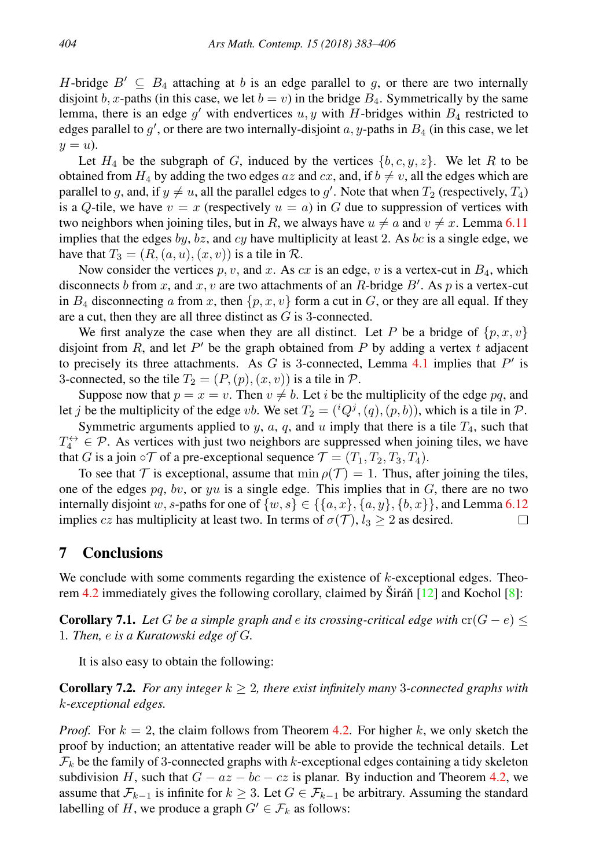H-bridge  $B' \subseteq B_4$  attaching at b is an edge parallel to g, or there are two internally disjoint b, x-paths (in this case, we let  $b = v$ ) in the bridge  $B_4$ . Symmetrically by the same lemma, there is an edge  $g'$  with endvertices  $u, y$  with H-bridges within  $B_4$  restricted to edges parallel to  $g'$ , or there are two internally-disjoint  $a$ , y-paths in  $B_4$  (in this case, we let  $y = u$ ).

Let  $H_4$  be the subgraph of G, induced by the vertices  $\{b, c, y, z\}$ . We let R to be obtained from  $H_4$  by adding the two edges az and cx, and, if  $b \neq v$ , all the edges which are parallel to g, and, if  $y \neq u$ , all the parallel edges to g'. Note that when  $T_2$  (respectively,  $T_4$ ) is a Q-tile, we have  $v = x$  (respectively  $u = a$ ) in G due to suppression of vertices with two neighbors when joining tiles, but in R, we always have  $u \neq a$  and  $v \neq x$ . Lemma [6.11](#page-19-1) implies that the edges by, bz, and cy have multiplicity at least 2. As bc is a single edge, we have that  $T_3 = (R, (a, u), (x, v))$  is a tile in  $\mathcal{R}$ .

Now consider the vertices p, v, and x. As cx is an edge, v is a vertex-cut in  $B_4$ , which disconnects b from x, and x, v are two attachments of an R-bridge B'. As p is a vertex-cut in  $B_4$  disconnecting a from x, then  $\{p, x, v\}$  form a cut in G, or they are all equal. If they are a cut, then they are all three distinct as G is 3-connected.

We first analyze the case when they are all distinct. Let P be a bridge of  $\{p, x, v\}$ disjoint from  $R$ , and let  $P'$  be the graph obtained from  $P$  by adding a vertex  $t$  adjacent to precisely its three attachments. As  $G$  is 3-connected, Lemma [4.1](#page-8-3) implies that  $P'$  is 3-connected, so the tile  $T_2 = (P,(p),(x,v))$  is a tile in  $P$ .

Suppose now that  $p = x = v$ . Then  $v \neq b$ . Let i be the multiplicity of the edge pq, and let j be the multiplicity of the edge vb. We set  $T_2 = ({}^{i}Q^{j}, (q), (p, b))$ , which is a tile in  $P$ .

Symmetric arguments applied to  $y$ ,  $a$ ,  $q$ , and  $u$  imply that there is a tile  $T_4$ , such that  $T_4^{\leftrightarrow} \in \mathcal{P}$ . As vertices with just two neighbors are suppressed when joining tiles, we have that G is a join  $\circ \mathcal{T}$  of a pre-exceptional sequence  $\mathcal{T} = (T_1, T_2, T_3, T_4)$ .

To see that T is exceptional, assume that  $\min \rho(\mathcal{T}) = 1$ . Thus, after joining the tiles, one of the edges  $pq$ , bv, or  $yu$  is a single edge. This implies that in  $G$ , there are no two internally disjoint w, s-paths for one of  $\{w, s\} \in \{\{a, x\}, \{a, y\}, \{b, x\}\}\)$ , and Lemma [6.12](#page-20-1) implies cz has multiplicity at least two. In terms of  $\sigma(\mathcal{T})$ ,  $l_3 \geq 2$  as desired.  $\Box$ 

## <span id="page-21-0"></span>7 Conclusions

We conclude with some comments regarding the existence of  $k$ -exceptional edges. Theo-rem [4.2](#page-8-0) immediately gives the following corollary, claimed by Širáň  $[12]$  $[12]$  and Kochol  $[8]$ :

**Corollary 7.1.** *Let* G *be a simple graph and e its crossing-critical edge with*  $\operatorname{cr}(G - e) \leq$ 1*. Then,* e *is a Kuratowski edge of* G*.*

It is also easy to obtain the following:

<span id="page-21-1"></span>**Corollary 7.2.** For any integer  $k \geq 2$ , there exist infinitely many 3-connected graphs with k*-exceptional edges.*

*Proof.* For  $k = 2$ , the claim follows from Theorem [4.2.](#page-8-0) For higher k, we only sketch the proof by induction; an attentative reader will be able to provide the technical details. Let  $\mathcal{F}_k$  be the family of 3-connected graphs with k-exceptional edges containing a tidy skeleton subdivision H, such that  $G - az - bc - cz$  is planar. By induction and Theorem [4.2,](#page-8-0) we assume that  $\mathcal{F}_{k-1}$  is infinite for  $k \geq 3$ . Let  $G \in \mathcal{F}_{k-1}$  be arbitrary. Assuming the standard labelling of H, we produce a graph  $G' \in \mathcal{F}_k$  as follows: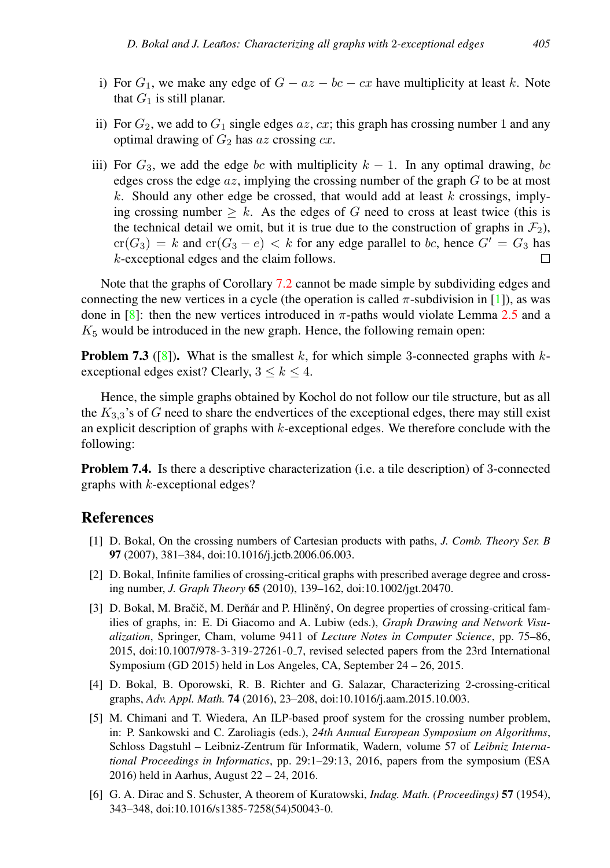- i) For  $G_1$ , we make any edge of  $G az bc cx$  have multiplicity at least k. Note that  $G_1$  is still planar.
- ii) For  $G_2$ , we add to  $G_1$  single edges  $az$ ,  $cx$ ; this graph has crossing number 1 and any optimal drawing of  $G_2$  has az crossing  $cx$ .
- iii) For  $G_3$ , we add the edge bc with multiplicity  $k 1$ . In any optimal drawing, bc edges cross the edge  $az$ , implying the crossing number of the graph  $G$  to be at most k. Should any other edge be crossed, that would add at least k crossings, implying crossing number  $\geq k$ . As the edges of G need to cross at least twice (this is the technical detail we omit, but it is true due to the construction of graphs in  $\mathcal{F}_2$ ),  $cr(G_3) = k$  and  $cr(G_3 - e) < k$  for any edge parallel to bc, hence  $G' = G_3$  has k-exceptional edges and the claim follows.  $\Box$

Note that the graphs of Corollary [7.2](#page-21-1) cannot be made simple by subdividing edges and connecting the new vertices in a cycle (the operation is called  $\pi$ -subdivision in [\[1\]](#page-22-5)), as was done in [\[8\]](#page-23-2): then the new vertices introduced in  $\pi$ -paths would violate Lemma [2.5](#page-3-2) and a  $K<sub>5</sub>$  would be introduced in the new graph. Hence, the following remain open:

**Problem 7.3** ([\[8\]](#page-23-2)). What is the smallest k, for which simple 3-connected graphs with  $k$ exceptional edges exist? Clearly,  $3 \le k \le 4$ .

Hence, the simple graphs obtained by Kochol do not follow our tile structure, but as all the  $K_{3,3}$ 's of G need to share the endvertices of the exceptional edges, there may still exist an explicit description of graphs with  $k$ -exceptional edges. We therefore conclude with the following:

Problem 7.4. Is there a descriptive characterization (i.e. a tile description) of 3-connected graphs with k-exceptional edges?

# **References**

- <span id="page-22-5"></span>[1] D. Bokal, On the crossing numbers of Cartesian products with paths, *J. Comb. Theory Ser. B* 97 (2007), 381–384, doi:10.1016/j.jctb.2006.06.003.
- <span id="page-22-2"></span>[2] D. Bokal, Infinite families of crossing-critical graphs with prescribed average degree and crossing number, *J. Graph Theory* 65 (2010), 139–162, doi:10.1002/jgt.20470.
- <span id="page-22-3"></span>[3] D. Bokal, M. Bračič, M. Derňár and P. Hliněný, On degree properties of crossing-critical families of graphs, in: E. Di Giacomo and A. Lubiw (eds.), *Graph Drawing and Network Visualization*, Springer, Cham, volume 9411 of *Lecture Notes in Computer Science*, pp. 75–86, 2015, doi:10.1007/978-3-319-27261-0 7, revised selected papers from the 23rd International Symposium (GD 2015) held in Los Angeles, CA, September 24 – 26, 2015.
- <span id="page-22-1"></span>[4] D. Bokal, B. Oporowski, R. B. Richter and G. Salazar, Characterizing 2-crossing-critical graphs, *Adv. Appl. Math.* 74 (2016), 23–208, doi:10.1016/j.aam.2015.10.003.
- <span id="page-22-4"></span>[5] M. Chimani and T. Wiedera, An ILP-based proof system for the crossing number problem, in: P. Sankowski and C. Zaroliagis (eds.), *24th Annual European Symposium on Algorithms*, Schloss Dagstuhl - Leibniz-Zentrum für Informatik, Wadern, volume 57 of Leibniz Interna*tional Proceedings in Informatics*, pp. 29:1–29:13, 2016, papers from the symposium (ESA 2016) held in Aarhus, August 22 – 24, 2016.
- <span id="page-22-0"></span>[6] G. A. Dirac and S. Schuster, A theorem of Kuratowski, *Indag. Math. (Proceedings)* 57 (1954), 343–348, doi:10.1016/s1385-7258(54)50043-0.